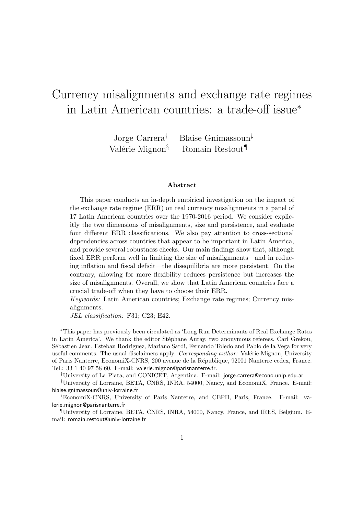# Currency misalignments and exchange rate regimes in Latin American countries: a trade-off issue<sup>∗</sup>

Jorge Carrera† Blaise Gnimassoun‡ Valérie Mignon<sup>§</sup> Romain Restout<sup>¶</sup>

#### Abstract

This paper conducts an in-depth empirical investigation on the impact of the exchange rate regime (ERR) on real currency misalignments in a panel of 17 Latin American countries over the 1970-2016 period. We consider explicitly the two dimensions of misalignments, size and persistence, and evaluate four different ERR classifications. We also pay attention to cross-sectional dependencies across countries that appear to be important in Latin America, and provide several robustness checks. Our main findings show that, although fixed ERR perform well in limiting the size of misalignments—and in reducing inflation and fiscal deficit—the disequilibria are more persistent. On the contrary, allowing for more flexibility reduces persistence but increases the size of misalignments. Overall, we show that Latin American countries face a crucial trade-off when they have to choose their ERR.

Keywords: Latin American countries; Exchange rate regimes; Currency misalignments.

JEL classification: F31; C23; E42.

<sup>∗</sup>This paper has previously been circulated as 'Long Run Determinants of Real Exchange Rates in Latin America'. We thank the editor Stéphane Auray, two anonymous referees, Carl Grekou, S´ebastien Jean, Esteban Rodriguez, Mariano Sardi, Fernando Toledo and Pablo de la Vega for very useful comments. The usual disclaimers apply. Corresponding author: Valérie Mignon, University of Paris Nanterre, EconomiX-CNRS, 200 avenue de la R´epublique, 92001 Nanterre cedex, France. Tel.: 33 1 40 97 58 60. E-mail: valerie.mignon@parisnanterre.fr.

<sup>†</sup>University of La Plata, and CONICET, Argentina. E-mail: jorge.carrera@econo.unlp.edu.ar

<sup>‡</sup>University of Lorraine, BETA, CNRS, INRA, 54000, Nancy, and EconomiX, France. E-mail: blaise.gnimassoun@univ-lorraine.fr

<sup>§</sup>EconomiX-CNRS, University of Paris Nanterre, and CEPII, Paris, France. E-mail: valerie.mignon@parisnanterre.fr

<sup>¶</sup>University of Lorraine, BETA, CNRS, INRA, 54000, Nancy, France, and IRES, Belgium. Email: romain.restout@univ-lorraine.fr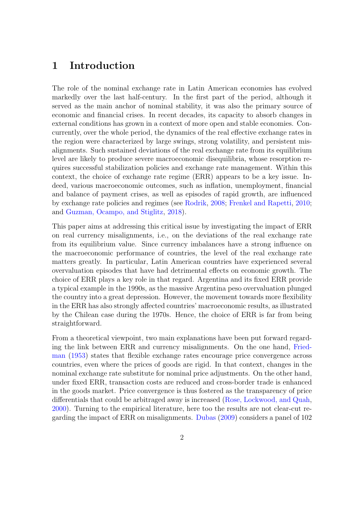# 1 Introduction

The role of the nominal exchange rate in Latin American economies has evolved markedly over the last half-century. In the first part of the period, although it served as the main anchor of nominal stability, it was also the primary source of economic and financial crises. In recent decades, its capacity to absorb changes in external conditions has grown in a context of more open and stable economies. Concurrently, over the whole period, the dynamics of the real effective exchange rates in the region were characterized by large swings, strong volatility, and persistent misalignments. Such sustained deviations of the real exchange rate from its equilibrium level are likely to produce severe macroeconomic disequilibria, whose resorption requires successful stabilization policies and exchange rate management. Within this context, the choice of exchange rate regime (ERR) appears to be a key issue. Indeed, various macroeconomic outcomes, such as inflation, unemployment, financial and balance of payment crises, as well as episodes of rapid growth, are influenced by exchange rate policies and regimes (see [Rodrik,](#page-40-0) [2008;](#page-40-0) [Frenkel and Rapetti,](#page-38-0) [2010;](#page-38-0) and [Guzman, Ocampo, and Stiglitz,](#page-39-0) [2018\)](#page-39-0).

This paper aims at addressing this critical issue by investigating the impact of ERR on real currency misalignments, i.e., on the deviations of the real exchange rate from its equilibrium value. Since currency imbalances have a strong influence on the macroeconomic performance of countries, the level of the real exchange rate matters greatly. In particular, Latin American countries have experienced several overvaluation episodes that have had detrimental effects on economic growth. The choice of ERR plays a key role in that regard. Argentina and its fixed ERR provide a typical example in the 1990s, as the massive Argentina peso overvaluation plunged the country into a great depression. However, the movement towards more flexibility in the ERR has also strongly affected countries' macroeconomic results, as illustrated by the Chilean case during the 1970s. Hence, the choice of ERR is far from being straightforward.

From a theoretical viewpoint, two main explanations have been put forward regarding the link between ERR and currency misalignments. On the one hand, [Fried](#page-38-1)[man](#page-38-1) [\(1953\)](#page-38-1) states that flexible exchange rates encourage price convergence across countries, even where the prices of goods are rigid. In that context, changes in the nominal exchange rate substitute for nominal price adjustments. On the other hand, under fixed ERR, transaction costs are reduced and cross-border trade is enhanced in the goods market. Price convergence is thus fostered as the transparency of price differentials that could be arbitraged away is increased [\(Rose, Lockwood, and Quah,](#page-40-1) [2000\)](#page-40-1). Turning to the empirical literature, here too the results are not clear-cut regarding the impact of ERR on misalignments. [Dubas](#page-37-0) [\(2009\)](#page-37-0) considers a panel of 102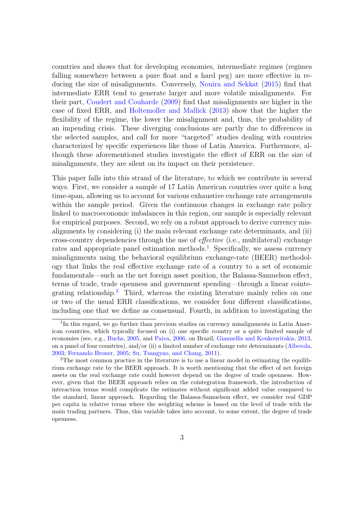countries and shows that for developing economies, intermediate regimes (regimes falling somewhere between a pure float and a hard peg) are more effective in reducing the size of misalignments. Conversely, [Nouira and Sekkat](#page-39-1) [\(2015\)](#page-39-1) find that intermediate ERR tend to generate larger and more volatile misalignments. For their part, [Coudert and Couharde](#page-37-1) [\(2009\)](#page-37-1) find that misalignments are higher in the case of fixed ERR, and [Holtemoller and Mallick](#page-39-2) [\(2013\)](#page-39-2) show that the higher the flexibility of the regime, the lower the misalignment and, thus, the probability of an impending crisis. These diverging conclusions are partly due to differences in the selected samples, and call for more "targeted" studies dealing with countries characterized by specific experiences like those of Latin America. Furthermore, although these aforementioned studies investigate the effect of ERR on the size of misalignments, they are silent on its impact on their persistence.

This paper falls into this strand of the literature, to which we contribute in several ways. First, we consider a sample of 17 Latin American countries over quite a long time-span, allowing us to account for various exhaustive exchange rate arrangements within the sample period. Given the continuous changes in exchange rate policy linked to macroeconomic imbalances in this region, our sample is especially relevant for empirical purposes. Second, we rely on a robust approach to derive currency misalignments by considering (i) the main relevant exchange rate determinants, and (ii) cross-country dependencies through the use of effective (i.e., multilateral) exchange rates and appropriate panel estimation methods.<sup>[1](#page-2-0)</sup> Specifically, we assess currency misalignments using the behavioral equilibrium exchange-rate (BEER) methodology that links the real effective exchange rate of a country to a set of economic fundamentals—such as the net foreign asset position, the Balassa-Samuelson effect, terms of trade, trade openness and government spending—through a linear cointe-grating relationship.<sup>[2](#page-2-1)</sup> Third, whereas the existing literature mainly relies on one or two of the usual ERR classifications, we consider four different classifications, including one that we define as consensual. Fourth, in addition to investigating the

<span id="page-2-0"></span><sup>&</sup>lt;sup>1</sup>In this regard, we go further than previous studies on currency misalignments in Latin American countries, which typically focused on (i) one specific country or a quite limited sample of economies (see, e.g., [Buchs,](#page-36-0) [2005,](#page-36-0) and [Paiva,](#page-40-2) [2006,](#page-40-2) on Brazil; [Giannellis and Koukouritakis,](#page-38-2) [2013,](#page-38-2) on a panel of four countries), and/or (ii) a limited number of exchange rate determinants [\(Alberola,](#page-36-1) [2003;](#page-36-1) [Fernando Broner,](#page-38-3) [2005;](#page-38-3) [Su, Tsangyao, and Chang,](#page-40-3) [2011\)](#page-40-3).

<span id="page-2-1"></span><sup>&</sup>lt;sup>2</sup>The most common practice in the literature is to use a linear model in estimating the equilibrium exchange rate by the BEER approach. It is worth mentioning that the effect of net foreign assets on the real exchange rate could however depend on the degree of trade openness. However, given that the BEER approach relies on the cointegration framework, the introduction of interaction terms would complicate the estimates without significant added value compared to the standard, linear approach. Regarding the Balassa-Samuelson effect, we consider real GDP per capita in relative terms where the weighting scheme is based on the level of trade with the main trading partners. Thus, this variable takes into account, to some extent, the degree of trade openness.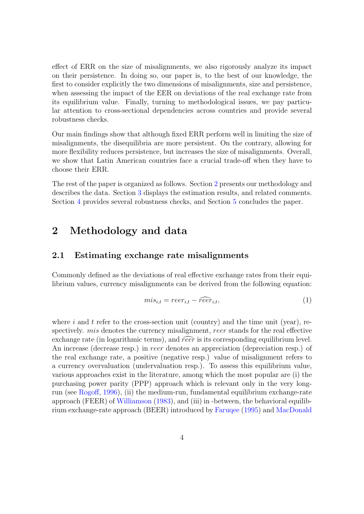effect of ERR on the size of misalignments, we also rigorously analyze its impact on their persistence. In doing so, our paper is, to the best of our knowledge, the first to consider explicitly the two dimensions of misalignments, size and persistence, when assessing the impact of the EER on deviations of the real exchange rate from its equilibrium value. Finally, turning to methodological issues, we pay particular attention to cross-sectional dependencies across countries and provide several robustness checks.

Our main findings show that although fixed ERR perform well in limiting the size of misalignments, the disequilibria are more persistent. On the contrary, allowing for more flexibility reduces persistence, but increases the size of misalignments. Overall, we show that Latin American countries face a crucial trade-off when they have to choose their ERR.

The rest of the paper is organized as follows. Section [2](#page-3-0) presents our methodology and describes the data. Section [3](#page-11-0) displays the estimation results, and related comments. Section [4](#page-20-0) provides several robustness checks, and Section [5](#page-26-0) concludes the paper.

# <span id="page-3-0"></span>2 Methodology and data

#### 2.1 Estimating exchange rate misalignments

Commonly defined as the deviations of real effective exchange rates from their equilibrium values, currency misalignments can be derived from the following equation:

$$
mis_{i,t} = reer_{i,t} - \widehat{reer}_{i,t},\tag{1}
$$

where i and t refer to the cross-section unit (country) and the time unit (year), respectively. *mis* denotes the currency misalignment, *reer* stands for the real effective exchange rate (in logarithmic terms), and  $\widehat{reer}$  is its corresponding equilibrium level. An increase (decrease resp.) in reer denotes an appreciation (depreciation resp.) of the real exchange rate, a positive (negative resp.) value of misalignment refers to a currency overvaluation (undervaluation resp.). To assess this equilibrium value, various approaches exist in the literature, among which the most popular are (i) the purchasing power parity (PPP) approach which is relevant only in the very longrun (see [Rogoff,](#page-40-4) [1996\)](#page-40-4), (ii) the medium-run, fundamental equilibrium exchange-rate approach (FEER) of [Williamson](#page-40-5) [\(1983\)](#page-40-5), and (iii) in -between, the behavioral equilibrium exchange-rate approach (BEER) introduced by [Faruqee](#page-38-4) [\(1995\)](#page-38-4) and [MacDonald](#page-39-3)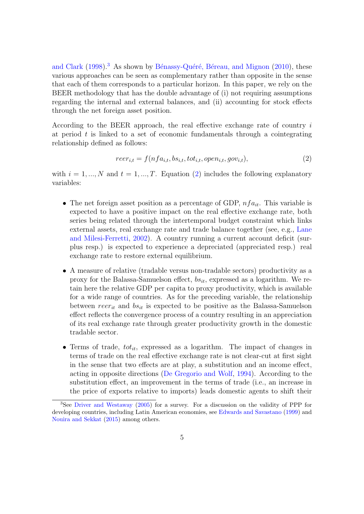[and Clark](#page-39-3)  $(1998).$  $(1998).$ <sup>[3](#page-4-0)</sup> As shown by Bénassy-Quéré, Béreau, and Mignon  $(2010)$ , these various approaches can be seen as complementary rather than opposite in the sense that each of them corresponds to a particular horizon. In this paper, we rely on the BEER methodology that has the double advantage of (i) not requiring assumptions regarding the internal and external balances, and (ii) accounting for stock effects through the net foreign asset position.

According to the BEER approach, the real effective exchange rate of country i at period  $t$  is linked to a set of economic fundamentals through a cointegrating relationship defined as follows:

<span id="page-4-1"></span>
$$
reer_{i,t} = f(nfa_{i,t}, bs_{i,t}, tot_{i,t}, open_{i,t}, gov_{i,t}),
$$
\n
$$
(2)
$$

with  $i = 1, ..., N$  and  $t = 1, ..., T$ . Equation [\(2\)](#page-4-1) includes the following explanatory variables:

- The net foreign asset position as a percentage of GDP,  $nfa_{it}$ . This variable is expected to have a positive impact on the real effective exchange rate, both series being related through the intertemporal budget constraint which links external assets, real exchange rate and trade balance together (see, e.g., [Lane](#page-39-4) [and Milesi-Ferretti,](#page-39-4) [2002\)](#page-39-4). A country running a current account deficit (surplus resp.) is expected to experience a depreciated (appreciated resp.) real exchange rate to restore external equilibrium.
- A measure of relative (tradable versus non-tradable sectors) productivity as a proxy for the Balassa-Samuelson effect,  $bs_{it}$ , expressed as a logarithm. We retain here the relative GDP per capita to proxy productivity, which is available for a wide range of countries. As for the preceding variable, the relationship between reer<sub>it</sub> and  $bs_{it}$  is expected to be positive as the Balassa-Samuelson effect reflects the convergence process of a country resulting in an appreciation of its real exchange rate through greater productivity growth in the domestic tradable sector.
- Terms of trade,  $tot_{it}$ , expressed as a logarithm. The impact of changes in terms of trade on the real effective exchange rate is not clear-cut at first sight in the sense that two effects are at play, a substitution and an income effect, acting in opposite directions [\(De Gregorio and Wolf,](#page-37-2) [1994\)](#page-37-2). According to the substitution effect, an improvement in the terms of trade (i.e., an increase in the price of exports relative to imports) leads domestic agents to shift their

<span id="page-4-0"></span><sup>3</sup>See [Driver and Westaway](#page-37-3) [\(2005\)](#page-37-3) for a survey. For a discussion on the validity of PPP for developing countries, including Latin American economies, see [Edwards and Savastano](#page-37-4) [\(1999\)](#page-37-4) and [Nouira and Sekkat](#page-39-1) [\(2015\)](#page-39-1) among others.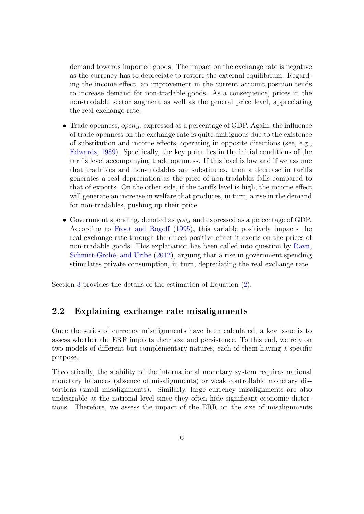demand towards imported goods. The impact on the exchange rate is negative as the currency has to depreciate to restore the external equilibrium. Regarding the income effect, an improvement in the current account position tends to increase demand for non-tradable goods. As a consequence, prices in the non-tradable sector augment as well as the general price level, appreciating the real exchange rate.

- Trade openness, *open<sub>it</sub>*, expressed as a percentage of GDP. Again, the influence of trade openness on the exchange rate is quite ambiguous due to the existence of substitution and income effects, operating in opposite directions (see, e.g., [Edwards,](#page-37-5) [1989\)](#page-37-5). Specifically, the key point lies in the initial conditions of the tariffs level accompanying trade openness. If this level is low and if we assume that tradables and non-tradables are substitutes, then a decrease in tariffs generates a real depreciation as the price of non-tradables falls compared to that of exports. On the other side, if the tariffs level is high, the income effect will generate an increase in welfare that produces, in turn, a rise in the demand for non-tradables, pushing up their price.
- Government spending, denoted as  $gov_{it}$  and expressed as a percentage of GDP. According to [Froot and Rogoff](#page-38-5) [\(1995\)](#page-38-5), this variable positively impacts the real exchange rate through the direct positive effect it exerts on the prices of non-tradable goods. This explanation has been called into question by [Ravn,](#page-40-6) Schmitt-Grohé, and Uribe [\(2012\)](#page-40-6), arguing that a rise in government spending stimulates private consumption, in turn, depreciating the real exchange rate.

Section [3](#page-11-0) provides the details of the estimation of Equation [\(2\)](#page-4-1).

#### 2.2 Explaining exchange rate misalignments

Once the series of currency misalignments have been calculated, a key issue is to assess whether the ERR impacts their size and persistence. To this end, we rely on two models of different but complementary natures, each of them having a specific purpose.

Theoretically, the stability of the international monetary system requires national monetary balances (absence of misalignments) or weak controllable monetary distortions (small misalignments). Similarly, large currency misalignments are also undesirable at the national level since they often hide significant economic distortions. Therefore, we assess the impact of the ERR on the size of misalignments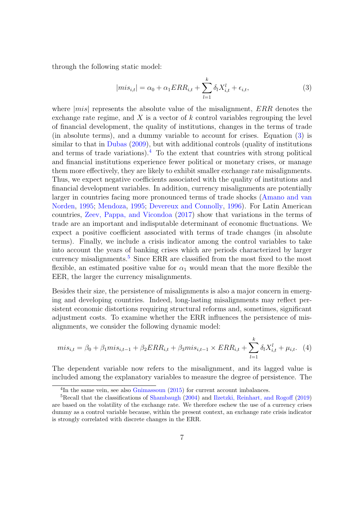through the following static model:

<span id="page-6-0"></span>
$$
|mis_{i,t}| = \alpha_0 + \alpha_1 ERR_{i,t} + \sum_{l=1}^{k} \delta_l X_{i,t}^l + \epsilon_{i,t},
$$
\n(3)

where  $|mis|$  represents the absolute value of the misalignment,  $ERR$  denotes the exchange rate regime, and  $X$  is a vector of  $k$  control variables regrouping the level of financial development, the quality of institutions, changes in the terms of trade (in absolute terms), and a dummy variable to account for crises. Equation [\(3\)](#page-6-0) is similar to that in [Dubas](#page-37-0) [\(2009\)](#page-37-0), but with additional controls (quality of institutions and terms of trade variations).<sup>[4](#page-6-1)</sup> To the extent that countries with strong political and financial institutions experience fewer political or monetary crises, or manage them more effectively, they are likely to exhibit smaller exchange rate misalignments. Thus, we expect negative coefficients associated with the quality of institutions and financial development variables. In addition, currency misalignments are potentially larger in countries facing more pronounced terms of trade shocks [\(Amano and van](#page-36-3) [Norden,](#page-36-3) [1995;](#page-36-3) [Mendoza,](#page-39-5) [1995;](#page-39-5) [Devereux and Connolly,](#page-37-6) [1996\)](#page-37-6). For Latin American countries, [Zeev, Pappa, and Vicondoa](#page-40-7) [\(2017\)](#page-40-7) show that variations in the terms of trade are an important and indisputable determinant of economic fluctuations. We expect a positive coefficient associated with terms of trade changes (in absolute terms). Finally, we include a crisis indicator among the control variables to take into account the years of banking crises which are periods characterized by larger currency misalignments.<sup>[5](#page-6-2)</sup> Since ERR are classified from the most fixed to the most flexible, an estimated positive value for  $\alpha_1$  would mean that the more flexible the EER, the larger the currency misalignments.

Besides their size, the persistence of misalignments is also a major concern in emerging and developing countries. Indeed, long-lasting misalignments may reflect persistent economic distortions requiring structural reforms and, sometimes, significant adjustment costs. To examine whether the ERR influences the persistence of misalignments, we consider the following dynamic model:

<span id="page-6-3"></span>
$$
mis_{i,t} = \beta_0 + \beta_1 mis_{i,t-1} + \beta_2 ERR_{i,t} + \beta_3 mis_{i,t-1} \times ERR_{i,t} + \sum_{l=1}^{k} \delta_l X_{i,t}^l + \mu_{i,t}.
$$
 (4)

The dependent variable now refers to the misalignment, and its lagged value is included among the explanatory variables to measure the degree of persistence. The

<span id="page-6-2"></span><span id="page-6-1"></span><sup>&</sup>lt;sup>4</sup>In the same vein, see also [Gnimassoun](#page-38-6) [\(2015\)](#page-38-6) for current account imbalances.

<sup>&</sup>lt;sup>5</sup>Recall that the classifications of [Shambaugh](#page-40-8) [\(2004\)](#page-40-8) and [Ilzetzki, Reinhart, and Rogoff](#page-39-6) [\(2019\)](#page-39-6) are based on the volatility of the exchange rate. We therefore eschew the use of a currency crises dummy as a control variable because, within the present context, an exchange rate crisis indicator is strongly correlated with discrete changes in the ERR.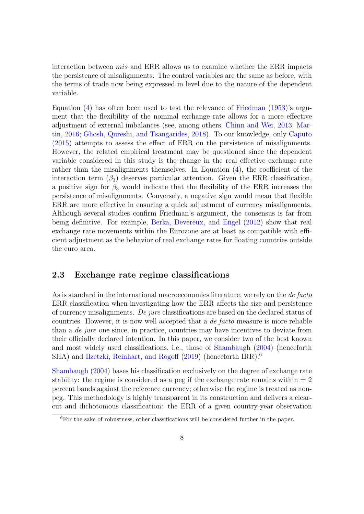interaction between *mis* and ERR allows us to examine whether the ERR impacts the persistence of misalignments. The control variables are the same as before, with the terms of trade now being expressed in level due to the nature of the dependent variable.

Equation  $(4)$  has often been used to test the relevance of [Friedman](#page-38-1)  $(1953)$ 's argument that the flexibility of the nominal exchange rate allows for a more effective adjustment of external imbalances (see, among others, [Chinn and Wei,](#page-36-4) [2013;](#page-36-4) [Mar](#page-39-7)[tin,](#page-39-7) [2016;](#page-39-7) [Ghosh, Qureshi, and Tsangarides,](#page-38-7) [2018\)](#page-38-7). To our knowledge, only [Caputo](#page-36-5) [\(2015\)](#page-36-5) attempts to assess the effect of ERR on the persistence of misalignments. However, the related empirical treatment may be questioned since the dependent variable considered in this study is the change in the real effective exchange rate rather than the misalignments themselves. In Equation [\(4\)](#page-6-3), the coefficient of the interaction term  $(\beta_3)$  deserves particular attention. Given the ERR classification, a positive sign for  $\beta_3$  would indicate that the flexibility of the ERR increases the persistence of misalignments. Conversely, a negative sign would mean that flexible ERR are more effective in ensuring a quick adjustment of currency misalignments. Although several studies confirm Friedman's argument, the consensus is far from being definitive. For example, [Berka, Devereux, and Engel](#page-36-6) [\(2012\)](#page-36-6) show that real exchange rate movements within the Eurozone are at least as compatible with efficient adjustment as the behavior of real exchange rates for floating countries outside the euro area.

#### 2.3 Exchange rate regime classifications

As is standard in the international macroeconomics literature, we rely on the de facto ERR classification when investigating how the ERR affects the size and persistence of currency misalignments. De jure classifications are based on the declared status of countries. However, it is now well accepted that a de facto measure is more reliable than a de jure one since, in practice, countries may have incentives to deviate from their officially declared intention. In this paper, we consider two of the best known and most widely used classifications, i.e., those of [Shambaugh](#page-40-8) [\(2004\)](#page-40-8) (henceforth SHA) and [Ilzetzki, Reinhart, and Rogoff](#page-39-6) [\(2019\)](#page-39-6) (henceforth IRR).<sup>[6](#page-7-0)</sup>

[Shambaugh](#page-40-8) [\(2004\)](#page-40-8) bases his classification exclusively on the degree of exchange rate stability: the regime is considered as a peg if the exchange rate remains within  $\pm 2$ percent bands against the reference currency; otherwise the regime is treated as nonpeg. This methodology is highly transparent in its construction and delivers a clearcut and dichotomous classification: the ERR of a given country-year observation

<span id="page-7-0"></span> $6$ For the sake of robustness, other classifications will be considered further in the paper.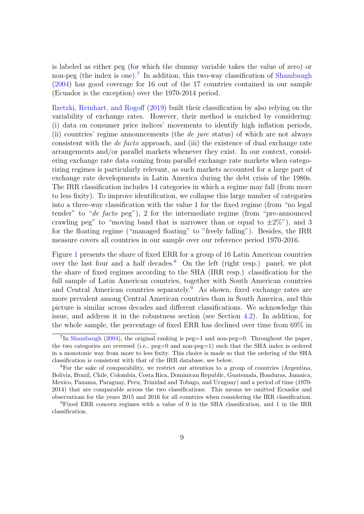is labeled as either peg (for which the dummy variable takes the value of zero) or non-peg (the index is one).<sup>[7](#page-8-0)</sup> In addition, this two-way classification of [Shambaugh](#page-40-8) [\(2004\)](#page-40-8) has good coverage for 16 out of the 17 countries contained in our sample (Ecuador is the exception) over the 1970-2014 period.

[Ilzetzki, Reinhart, and Rogoff](#page-39-6) [\(2019\)](#page-39-6) built their classification by also relying on the variability of exchange rates. However, their method is enriched by considering: (i) data on consumer price indices' movements to identify high inflation periods, (ii) countries' regime announcements (the *de jure* status) of which are not always consistent with the de facto approach, and (iii) the existence of dual exchange rate arrangements and/or parallel markets whenever they exist. In our context, considering exchange rate data coming from parallel exchange rate markets when categorizing regimes is particularly relevant, as such markets accounted for a large part of exchange rate developments in Latin America during the debt crisis of the 1980s. The IRR classification includes 14 categories in which a regime may fall (from more to less fixity). To improve identification, we collapse this large number of categories into a three-way classification with the value 1 for the fixed regime (from "no legal tender" to "*de facto* peg"), 2 for the intermediate regime (from "pre-announced" crawling peg" to "moving band that is narrower than or equal to  $\pm 2\%$ "), and 3 for the floating regime ("managed floating" to "freely falling"). Besides, the IRR measure covers all countries in our sample over our reference period 1970-2016.

Figure [1](#page-9-0) presents the share of fixed ERR for a group of 16 Latin American countries over the last four and a half decades.<sup>[8](#page-8-1)</sup> On the left (right resp.) panel, we plot the share of fixed regimes according to the SHA (IRR resp.) classification for the full sample of Latin American countries, together with South American countries and Central American countries separately.<sup>[9](#page-8-2)</sup> As shown, fixed exchange rates are more prevalent among Central American countries than in South America, and this picture is similar across decades and different classifications. We acknowledge this issue, and address it in the robustness section (see Section [4.2\)](#page-24-0). In addition, for the whole sample, the percentage of fixed ERR has declined over time from 69% in

<span id="page-8-0"></span><sup>&</sup>lt;sup>7</sup>In [Shambaugh](#page-40-8) [\(2004\)](#page-40-8), the original ranking is peg=1 and non-peg=0. Throughout the paper, the two categories are reversed (i.e.,  $peg=0$  and non-peg=1) such that the SHA index is ordered in a monotonic way from more to less fixity. This choice is made so that the ordering of the SHA classification is consistent with that of the IRR database, see below.

<span id="page-8-1"></span><sup>8</sup>For the sake of comparability, we restrict our attention to a group of countries (Argentina, Bolivia, Brazil, Chile, Colombia, Costa Rica, Dominican Republic, Guatemala, Honduras, Jamaica, Mexico, Panama, Paraguay, Peru, Trinidad and Tobago, and Uruguay) and a period of time (1970- 2014) that are comparable across the two classifications. This means we omitted Ecuador and observations for the years 2015 and 2016 for all countries when considering the IRR classification.

<span id="page-8-2"></span><sup>9</sup>Fixed ERR concern regimes with a value of 0 in the SHA classification, and 1 in the IRR classification.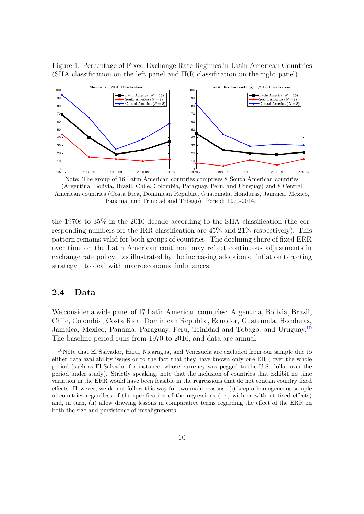<span id="page-9-0"></span>Figure 1: Percentage of Fixed Exchange Rate Regimes in Latin American Countries (SHA classification on the left panel and IRR classification on the right panel).



Note: The group of 16 Latin American countries comprises 8 South American countries (Argentina, Bolivia, Brazil, Chile, Colombia, Paraguay, Peru, and Uruguay) and 8 Central American countries (Costa Rica, Dominican Republic, Guatemala, Honduras, Jamaica, Mexico, Panama, and Trinidad and Tobago). Period: 1970-2014.

the 1970s to 35% in the 2010 decade according to the SHA classification (the corresponding numbers for the IRR classification are 45% and 21% respectively). This pattern remains valid for both groups of countries. The declining share of fixed ERR over time on the Latin American continent may reflect continuous adjustments in exchange rate policy—as illustrated by the increasing adoption of inflation targeting strategy—to deal with macroeconomic imbalances.

#### 2.4 Data

We consider a wide panel of 17 Latin American countries: Argentina, Bolivia, Brazil, Chile, Colombia, Costa Rica, Dominican Republic, Ecuador, Guatemala, Honduras, Jamaica, Mexico, Panama, Paraguay, Peru, Trinidad and Tobago, and Uruguay.<sup>[10](#page-9-1)</sup> The baseline period runs from 1970 to 2016, and data are annual.

<span id="page-9-1"></span><sup>10</sup>Note that El Salvador, Haiti, Nicaragua, and Venezuela are excluded from our sample due to either data availability issues or to the fact that they have known only one ERR over the whole period (such as El Salvador for instance, whose currency was pegged to the U.S. dollar over the period under study). Strictly speaking, note that the inclusion of countries that exhibit no time variation in the ERR would have been feasible in the regressions that do not contain country fixed effects. However, we do not follow this way for two main reasons: (i) keep a homogeneous sample of countries regardless of the specification of the regressions (i.e., with or without fixed effects) and, in turn, (ii) allow drawing lessons in comparative terms regarding the effect of the ERR on both the size and persistence of misalignments.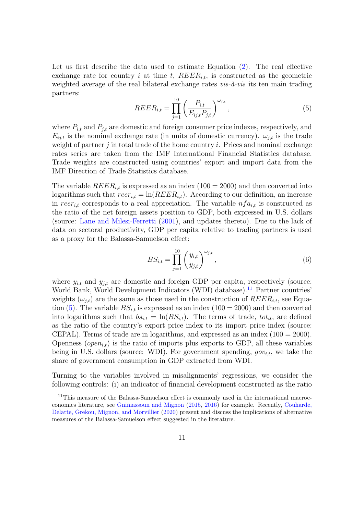Let us first describe the data used to estimate Equation [\(2\)](#page-4-1). The real effective exchange rate for country i at time t,  $REER_{i,t}$ , is constructed as the geometric weighted average of the real bilateral exchange rates  $vis-\hat{a}-vis$  its ten main trading partners:

<span id="page-10-1"></span>
$$
REER_{i,t} = \prod_{j=1}^{10} \left( \frac{P_{i,t}}{E_{ij,t} P_{j,t}} \right)^{\omega_{j,t}},
$$
\n(5)

where  $P_{i,t}$  and  $P_{j,t}$  are domestic and foreign consumer price indexes, respectively, and  $E_{ij,t}$  is the nominal exchange rate (in units of domestic currency).  $\omega_{j,t}$  is the trade weight of partner j in total trade of the home country i. Prices and nominal exchange rates series are taken from the IMF International Financial Statistics database. Trade weights are constructed using countries' export and import data from the IMF Direction of Trade Statistics database.

The variable  $REER_{i,t}$  is expressed as an index (100 = 2000) and then converted into logarithms such that  $reer_{i,t} = \ln(REE_{i,t})$ . According to our definition, an increase in reer<sub>it</sub> corresponds to a real appreciation. The variable  $nfa_{it}$  is constructed as the ratio of the net foreign assets position to GDP, both expressed in U.S. dollars (source: [Lane and Milesi-Ferretti](#page-39-8) [\(2001\)](#page-39-8), and updates thereto). Due to the lack of data on sectoral productivity, GDP per capita relative to trading partners is used as a proxy for the Balassa-Samuelson effect:

$$
BS_{i,t} = \prod_{j=1}^{10} \left( \frac{y_{i,t}}{y_{j,t}} \right)^{\omega_{j,t}},
$$
\n(6)

where  $y_{i,t}$  and  $y_{j,t}$  are domestic and foreign GDP per capita, respectively (source: World Bank, World Development Indicators (WDI) database).<sup>[11](#page-10-0)</sup> Partner countries weights  $(\omega_{i,t})$  are the same as those used in the construction of  $REER_{i,t}$ , see Equa-tion [\(5\)](#page-10-1). The variable  $BS_{i,t}$  is expressed as an index (100 = 2000) and then converted into logarithms such that  $bs_{i,t} = \ln(BS_{i,t})$ . The terms of trade,  $tot_{it}$ , are defined as the ratio of the country's export price index to its import price index (source: CEPAL). Terms of trade are in logarithms, and expressed as an index  $(100 = 2000)$ . Openness (*open*<sub>it</sub>) is the ratio of imports plus exports to GDP, all these variables being in U.S. dollars (source: WDI). For government spending,  $gov_{i,t}$ , we take the share of government consumption in GDP extracted from WDI.

Turning to the variables involved in misalignments' regressions, we consider the following controls: (i) an indicator of financial development constructed as the ratio

<span id="page-10-0"></span><sup>&</sup>lt;sup>11</sup>This measure of the Balassa-Samuelson effect is commonly used in the international macroeconomics literature, see [Gnimassoun and Mignon](#page-38-8) [\(2015,](#page-38-8) [2016\)](#page-39-9) for example. Recently, [Couharde,](#page-37-7) [Delatte, Grekou, Mignon, and Morvillier](#page-37-7) [\(2020\)](#page-37-7) present and discuss the implications of alternative measures of the Balassa-Samuelson effect suggested in the literature.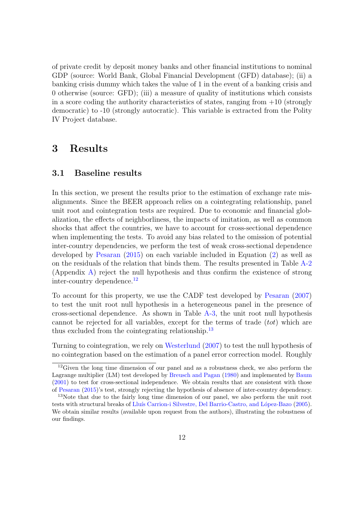of private credit by deposit money banks and other financial institutions to nominal GDP (source: World Bank, Global Financial Development (GFD) database); (ii) a banking crisis dummy which takes the value of 1 in the event of a banking crisis and 0 otherwise (source: GFD); (iii) a measure of quality of institutions which consists in a score coding the authority characteristics of states, ranging from  $+10$  (strongly democratic) to -10 (strongly autocratic). This variable is extracted from the Polity IV Project database.

## <span id="page-11-0"></span>3 Results

#### 3.1 Baseline results

In this section, we present the results prior to the estimation of exchange rate misalignments. Since the BEER approach relies on a cointegrating relationship, panel unit root and cointegration tests are required. Due to economic and financial globalization, the effects of neighborliness, the impacts of imitation, as well as common shocks that affect the countries, we have to account for cross-sectional dependence when implementing the tests. To avoid any bias related to the omission of potential inter-country dependencies, we perform the test of weak cross-sectional dependence developed by [Pesaran](#page-40-9) [\(2015\)](#page-40-9) on each variable included in Equation [\(2\)](#page-4-1) as well as on the residuals of the relation that binds them. The results presented in Table [A-2](#page-28-0) (Appendix [A\)](#page-28-1) reject the null hypothesis and thus confirm the existence of strong inter-country dependence.<sup>[12](#page-11-1)</sup>

To account for this property, we use the CADF test developed by [Pesaran](#page-40-10) [\(2007\)](#page-40-10) to test the unit root null hypothesis in a heterogeneous panel in the presence of cross-sectional dependence. As shown in Table [A-3,](#page-29-0) the unit root null hypothesis cannot be rejected for all variables, except for the terms of trade  $(tot)$  which are thus excluded from the cointegrating relationship.<sup>[13](#page-11-2)</sup>

Turning to cointegration, we rely on [Westerlund](#page-40-11) [\(2007\)](#page-40-11) to test the null hypothesis of no cointegration based on the estimation of a panel error correction model. Roughly

<span id="page-11-1"></span><sup>&</sup>lt;sup>12</sup>Given the long time dimension of our panel and as a robustness check, we also perform the Lagrange multiplier (LM) test developed by [Breusch and Pagan](#page-36-7) [\(1980\)](#page-36-7) and implemented by [Baum](#page-36-8) [\(2001\)](#page-36-8) to test for cross-sectional independence. We obtain results that are consistent with those of [Pesaran](#page-40-9) [\(2015\)](#page-40-9)'s test, strongly rejecting the hypothesis of absence of inter-country dependency.

<span id="page-11-2"></span><sup>&</sup>lt;sup>13</sup>Note that due to the fairly long time dimension of our panel, we also perform the unit root tests with structural breaks of Lluís Carrion-i Silvestre, Del Barrio-Castro, and López-Bazo [\(2005\)](#page-39-10). We obtain similar results (available upon request from the authors), illustrating the robustness of our findings.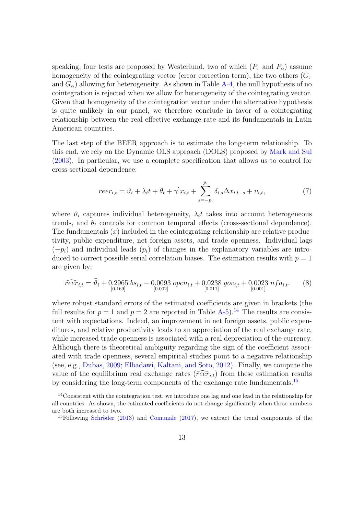speaking, four tests are proposed by Westerlund, two of which  $(P_\tau$  and  $P_\alpha$ ) assume homogeneity of the cointegrating vector (error correction term), the two others  $(G_\tau)$ and  $G_{\alpha}$ ) allowing for heterogeneity. As shown in Table [A-4,](#page-29-1) the null hypothesis of no cointegration is rejected when we allow for heterogeneity of the cointegrating vector. Given that homogeneity of the cointegration vector under the alternative hypothesis is quite unlikely in our panel, we therefore conclude in favor of a cointegrating relationship between the real effective exchange rate and its fundamentals in Latin American countries.

The last step of the BEER approach is to estimate the long-term relationship. To this end, we rely on the Dynamic OLS approach (DOLS) proposed by [Mark and Sul](#page-39-11) [\(2003\)](#page-39-11). In particular, we use a complete specification that allows us to control for cross-sectional dependence:

<span id="page-12-2"></span>
$$
reer_{i,t} = \vartheta_i + \lambda_i t + \theta_t + \gamma' x_{i,t} + \sum_{s=-p_i}^{p_i} \delta_{i,s} \Delta x_{i,t-s} + \upsilon_{i,t},\tag{7}
$$

where  $\vartheta_i$  captures individual heterogeneity,  $\lambda_i t$  takes into account heterogeneous trends, and  $\theta_t$  controls for common temporal effects (cross-sectional dependence). The fundamentals  $(x)$  included in the cointegrating relationship are relative productivity, public expenditure, net foreign assets, and trade openness. Individual lags  $(-p_i)$  and individual leads  $(p_i)$  of changes in the explanatory variables are introduced to correct possible serial correlation biases. The estimation results with  $p = 1$ are given by:

$$
\widehat{reer}_{i,t} = \widehat{\vartheta}_i + 0.2965 \text{ bs}_{i,t} - 0.0093 \text{ open}_{i,t} + 0.0238 \text{ gov}_{i,t} + 0.0023 \text{ nfa}_{i,t}. \tag{8}
$$

where robust standard errors of the estimated coefficients are given in brackets (the full results for  $p = 1$  and  $p = 2$  are reported in Table [A-5\)](#page-29-2).<sup>[14](#page-12-0)</sup> The results are consistent with expectations. Indeed, an improvement in net foreign assets, public expenditures, and relative productivity leads to an appreciation of the real exchange rate, while increased trade openness is associated with a real depreciation of the currency. Although there is theoretical ambiguity regarding the sign of the coefficient associated with trade openness, several empirical studies point to a negative relationship (see, e.g., [Dubas,](#page-37-0) [2009;](#page-37-0) [Elbadawi, Kaltani, and Soto,](#page-38-9) [2012\)](#page-38-9). Finally, we compute the value of the equilibrium real exchange rates ( $\widehat{reer}_{i,t}$ ) from these estimation results by considering the long-term components of the exchange rate fundamentals.<sup>[15](#page-12-1)</sup>

<span id="page-12-0"></span><sup>14</sup>Consistent with the cointegration test, we introduce one lag and one lead in the relationship for all countries. As shown, the estimated coefficients do not change significantly when these numbers are both increased to two.

<span id="page-12-1"></span><sup>&</sup>lt;sup>15</sup>Following Schröder [\(2013\)](#page-40-12) and [Comunale](#page-37-8) [\(2017\)](#page-37-8), we extract the trend components of the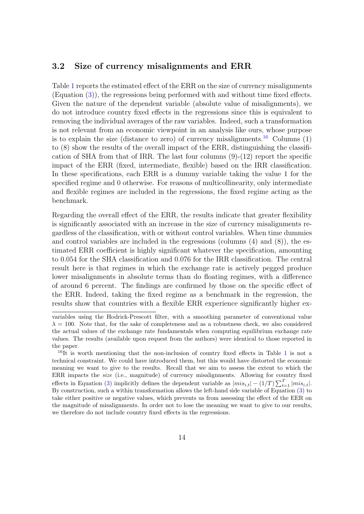#### 3.2 Size of currency misalignments and ERR

Table [1](#page-16-0) reports the estimated effect of the ERR on the size of currency misalignments (Equation [\(3\)](#page-6-0)), the regressions being performed with and without time fixed effects. Given the nature of the dependent variable (absolute value of misalignments), we do not introduce country fixed effects in the regressions since this is equivalent to removing the individual averages of the raw variables. Indeed, such a transformation is not relevant from an economic viewpoint in an analysis like ours, whose purpose is to explain the size (distance to zero) of currency misalignments.<sup>[16](#page-13-0)</sup> Columns  $(1)$ to (8) show the results of the overall impact of the ERR, distinguishing the classification of SHA from that of IRR. The last four columns  $(9)-(12)$  report the specific impact of the ERR (fixed, intermediate, flexible) based on the IRR classification. In these specifications, each ERR is a dummy variable taking the value 1 for the specified regime and 0 otherwise. For reasons of multicollinearity, only intermediate and flexible regimes are included in the regressions, the fixed regime acting as the benchmark.

Regarding the overall effect of the ERR, the results indicate that greater flexibility is significantly associated with an increase in the size of currency misalignments regardless of the classification, with or without control variables. When time dummies and control variables are included in the regressions (columns (4) and (8)), the estimated ERR coefficient is highly significant whatever the specification, amounting to 0.054 for the SHA classification and 0.076 for the IRR classification. The central result here is that regimes in which the exchange rate is actively pegged produce lower misalignments in absolute terms than do floating regimes, with a difference of around 6 percent. The findings are confirmed by those on the specific effect of the ERR. Indeed, taking the fixed regime as a benchmark in the regression, the results show that countries with a flexible ERR experience significantly higher ex-

variables using the Hodrick-Prescott filter, with a smoothing parameter of conventional value  $\lambda = 100$ . Note that, for the sake of completeness and as a robustness check, we also considered the actual values of the exchange rate fundamentals when computing equilibrium exchange rate values. The results (available upon request from the authors) were identical to those reported in the paper.

<span id="page-13-0"></span> $16$  $16$ It is worth mentioning that the non-inclusion of country fixed effects in Table 1 is not a technical constraint. We could have introduced them, but this would have distorted the economic meaning we want to give to the results. Recall that we aim to assess the extent to which the ERR impacts the *size* (i.e., magnitude) of currency misalignments. Allowing for country fixed effects in Equation [\(3\)](#page-6-0) implicitly defines the dependent variable as  $|mis_{i,t}| - (1/T) \sum_{t=1}^{T} |mis_{i,t}|$ . By construction, such a within transformation allows the left-hand side variable of Equation [\(3\)](#page-6-0) to take either positive or negative values, which prevents us from assessing the effect of the EER on the magnitude of misalignments. In order not to lose the meaning we want to give to our results, we therefore do not include country fixed effects in the regressions.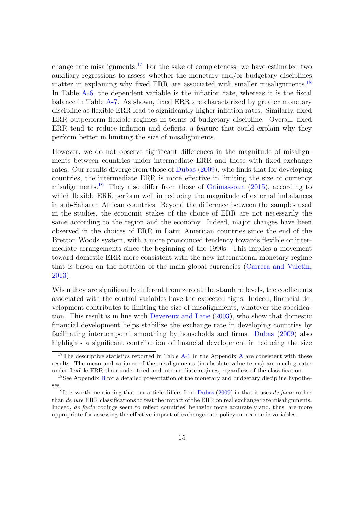change rate misalignments.<sup>[17](#page-14-0)</sup> For the sake of completeness, we have estimated two auxiliary regressions to assess whether the monetary and/or budgetary disciplines matter in explaining why fixed ERR are associated with smaller misalignments.<sup>[18](#page-14-1)</sup> In Table [A-6,](#page-31-0) the dependent variable is the inflation rate, whereas it is the fiscal balance in Table [A-7.](#page-32-0) As shown, fixed ERR are characterized by greater monetary discipline as flexible ERR lead to significantly higher inflation rates. Similarly, fixed ERR outperform flexible regimes in terms of budgetary discipline. Overall, fixed ERR tend to reduce inflation and deficits, a feature that could explain why they perform better in limiting the size of misalignments.

However, we do not observe significant differences in the magnitude of misalignments between countries under intermediate ERR and those with fixed exchange rates. Our results diverge from those of [Dubas](#page-37-0) [\(2009\)](#page-37-0), who finds that for developing countries, the intermediate ERR is more effective in limiting the size of currency misalignments.<sup>[19](#page-14-2)</sup> They also differ from those of [Gnimassoun](#page-38-6)  $(2015)$ , according to which flexible ERR perform well in reducing the magnitude of external imbalances in sub-Saharan African countries. Beyond the difference between the samples used in the studies, the economic stakes of the choice of ERR are not necessarily the same according to the region and the economy. Indeed, major changes have been observed in the choices of ERR in Latin American countries since the end of the Bretton Woods system, with a more pronounced tendency towards flexible or intermediate arrangements since the beginning of the 1990s. This implies a movement toward domestic ERR more consistent with the new international monetary regime that is based on the flotation of the main global currencies [\(Carrera and Vuletin,](#page-36-9) [2013\)](#page-36-9).

When they are significantly different from zero at the standard levels, the coefficients associated with the control variables have the expected signs. Indeed, financial development contributes to limiting the size of misalignments, whatever the specification. This result is in line with [Devereux and Lane](#page-37-9) [\(2003\)](#page-37-9), who show that domestic financial development helps stabilize the exchange rate in developing countries by facilitating intertemporal smoothing by households and firms. [Dubas](#page-37-0) [\(2009\)](#page-37-0) also highlights a significant contribution of financial development in reducing the size

<span id="page-14-0"></span><sup>&</sup>lt;sup>17</sup>The descriptive statistics reported in Table  $A-1$  in the [A](#page-28-1)ppendix A are consistent with these results. The mean and variance of the misalignments (in absolute value terms) are much greater under flexible ERR than under fixed and intermediate regimes, regardless of the classification.

<span id="page-14-1"></span><sup>&</sup>lt;sup>18</sup>See Appendix [B](#page-30-0) for a detailed presentation of the monetary and budgetary discipline hypotheses.

<span id="page-14-2"></span><sup>&</sup>lt;sup>19</sup>It is worth mentioning that our article differs from [Dubas](#page-37-0) [\(2009\)](#page-37-0) in that it uses de facto rather than de jure ERR classifications to test the impact of the ERR on real exchange rate misalignments. Indeed, *de facto* codings seem to reflect countries' behavior more accurately and, thus, are more appropriate for assessing the effective impact of exchange rate policy on economic variables.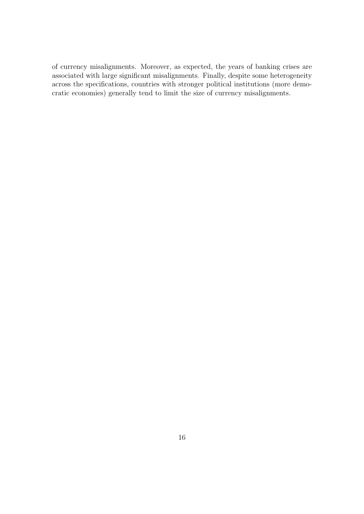of currency misalignments. Moreover, as expected, the years of banking crises are associated with large significant misalignments. Finally, despite some heterogeneity across the specifications, countries with stronger political institutions (more democratic economies) generally tend to limit the size of currency misalignments.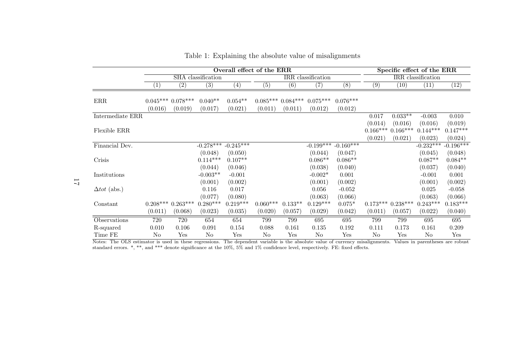|                     |         | Overall effect of the ERR        |                      |                      |            |                               |                       |                       | Specific effect of the ERR |                       |                    |                   |
|---------------------|---------|----------------------------------|----------------------|----------------------|------------|-------------------------------|-----------------------|-----------------------|----------------------------|-----------------------|--------------------|-------------------|
|                     |         |                                  | SHA classification   |                      |            |                               | IRR classification    |                       |                            |                       | IRR classification |                   |
|                     | $\perp$ | $\left( 2\right)$                | (3)                  | $\left( 4\right)$    | (5)        | (6)                           | $\left( 7\right)$     | $\overline{(8)}$      | (9)                        | (10)                  | (11)               | $\left(12\right)$ |
| $\rm{ERR}$          | (0.016) | $0.045***$ $0.078***$<br>(0.019) | $0.040**$<br>(0.017) | $0.054**$<br>(0.021) | (0.011)    | $0.085***0.084***$<br>(0.011) | $0.075***$<br>(0.012) | $0.076***$<br>(0.012) |                            |                       |                    |                   |
| Intermediate ERR    |         |                                  |                      |                      |            |                               |                       |                       | 0.017                      | $0.033**$             | $-0.003$           | 0.010             |
|                     |         |                                  |                      |                      |            |                               |                       |                       | (0.014)                    | (0.016)               | (0.016)            | (0.019)           |
| Flexible ERR        |         |                                  |                      |                      |            |                               |                       |                       | $0.166***$                 | $0.166***$            | $0.144***$         | $0.147***$        |
|                     |         |                                  |                      |                      |            |                               |                       |                       | (0.021)                    | (0.021)               | (0.023)            | (0.024)           |
| Financial Dev.      |         |                                  | $-0.278***$          | $-0.245***$          |            |                               | $-0.199***$           | $-0.160***$           |                            |                       | $-0.232***$        | $-0.196***$       |
|                     |         |                                  | (0.048)              | (0.050)              |            |                               | (0.044)               | (0.047)               |                            |                       | (0.045)            | (0.048)           |
| Crisis              |         |                                  | $0.114***$           | $0.107**$            |            |                               | $0.086**$             | $0.086**$             |                            |                       | $0.087**$          | $0.084**$         |
|                     |         |                                  | (0.044)              | (0.046)              |            |                               | (0.038)               | (0.040)               |                            |                       | (0.037)            | (0.040)           |
| Institutions        |         |                                  | $-0.003**$           | $-0.001$             |            |                               | $-0.002*$             | 0.001                 |                            |                       | $-0.001$           | 0.001             |
|                     |         |                                  | (0.001)              | (0.002)              |            |                               | (0.001)               | (0.002)               |                            |                       | (0.001)            | (0.002)           |
| $\Delta tot$ (abs.) |         |                                  | 0.116                | 0.017                |            |                               | 0.056                 | $-0.052$              |                            |                       | 0.025              | $-0.058$          |
|                     |         |                                  | (0.077)              | (0.080)              |            |                               | (0.063)               | (0.066)               |                            |                       | (0.063)            | (0.066)           |
| Constant            |         | $0.208***0.263***$               | $0.280***$           | $0.219***$           | $0.060***$ | $0.133**$                     | $0.129***$            | $0.075*$              |                            | $0.173***$ $0.238***$ | $0.243***$         | $0.183***$        |
|                     | (0.011) | (0.068)                          | (0.023)              | (0.035)              | (0.020)    | (0.057)                       | (0.029)               | (0.042)               | (0.011)                    | (0.057)               | (0.022)            | (0.040)           |
| Observations        | 720     | 720                              | 654                  | 654                  | 799        | 799                           | 695                   | 695                   | 799                        | 799                   | 695                | 695               |
| R-squared           | 0.010   | 0.106                            | 0.091                | 0.154                | 0.088      | 0.161                         | 0.135                 | 0.192                 | 0.111                      | 0.173                 | 0.161              | 0.209             |
| Time FE             | No      | Yes                              | No                   | Yes                  | No         | Yes                           | No                    | Yes                   | No                         | Yes                   | N <sub>o</sub>     | Yes               |

Table 1: Explaining the absolute value of misalignments

Notes: The OLS estimator is used in these regressions. The dependent variable is the absolute value of currency misalignments. Values in parentheses are robust standard errors. \*, \*\*, and \*\*\* denote significance at the 10%

<span id="page-16-0"></span>17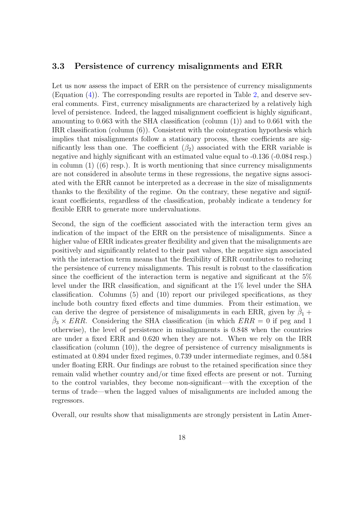#### 3.3 Persistence of currency misalignments and ERR

Let us now assess the impact of ERR on the persistence of currency misalignments (Equation [\(4\)](#page-6-3)). The corresponding results are reported in Table [2,](#page-19-0) and deserve several comments. First, currency misalignments are characterized by a relatively high level of persistence. Indeed, the lagged misalignment coefficient is highly significant, amounting to 0.663 with the SHA classification (column (1)) and to 0.661 with the IRR classification (column (6)). Consistent with the cointegration hypothesis which implies that misalignments follow a stationary process, these coefficients are significantly less than one. The coefficient  $(\beta_2)$  associated with the ERR variable is negative and highly significant with an estimated value equal to -0.136 (-0.084 resp.) in column  $(1)$   $((6)$  resp.). It is worth mentioning that since currency misalignments are not considered in absolute terms in these regressions, the negative signs associated with the ERR cannot be interpreted as a decrease in the size of misalignments thanks to the flexibility of the regime. On the contrary, these negative and significant coefficients, regardless of the classification, probably indicate a tendency for flexible ERR to generate more undervaluations.

Second, the sign of the coefficient associated with the interaction term gives an indication of the impact of the ERR on the persistence of misalignments. Since a higher value of ERR indicates greater flexibility and given that the misalignments are positively and significantly related to their past values, the negative sign associated with the interaction term means that the flexibility of ERR contributes to reducing the persistence of currency misalignments. This result is robust to the classification since the coefficient of the interaction term is negative and significant at the 5% level under the IRR classification, and significant at the 1% level under the SHA classification. Columns (5) and (10) report our privileged specifications, as they include both country fixed effects and time dummies. From their estimation, we can derive the degree of persistence of misalignments in each ERR, given by  $\hat{\beta}_1$  +  $\hat{\beta}_3 \times ERR$ . Considering the SHA classification (in which  $ERR = 0$  if peg and 1 otherwise), the level of persistence in misalignments is 0.848 when the countries are under a fixed ERR and 0.620 when they are not. When we rely on the IRR classification (column (10)), the degree of persistence of currency misalignments is estimated at 0.894 under fixed regimes, 0.739 under intermediate regimes, and 0.584 under floating ERR. Our findings are robust to the retained specification since they remain valid whether country and/or time fixed effects are present or not. Turning to the control variables, they become non-significant—with the exception of the terms of trade—when the lagged values of misalignments are included among the regressors.

Overall, our results show that misalignments are strongly persistent in Latin Amer-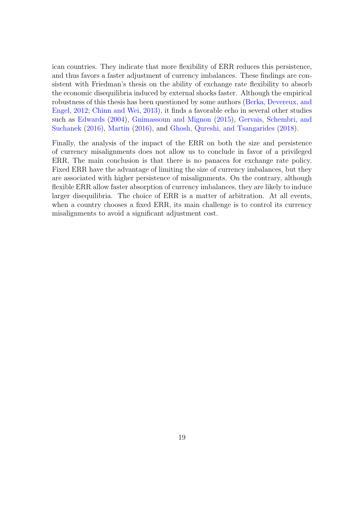ican countries. They indicate that more flexibility of ERR reduces this persistence, and thus favors a faster adjustment of currency imbalances. These findings are consistent with Friedman's thesis on the ability of exchange rate flexibility to absorb the economic disequilibria induced by external shocks faster. Although the empirical robustness of this thesis has been questioned by some authors [\(Berka, Devereux, and](#page-36-6) [Engel,](#page-36-6) [2012;](#page-36-6) [Chinn and Wei,](#page-36-4) [2013\)](#page-36-4), it finds a favorable echo in several other studies such as [Edwards](#page-37-10) [\(2004\)](#page-37-10), [Gnimassoun and Mignon](#page-38-8) [\(2015\)](#page-38-8), [Gervais, Schembri, and](#page-38-10) [Suchanek](#page-38-10) [\(2016\)](#page-38-10), [Martin](#page-39-7) [\(2016\)](#page-39-7), and [Ghosh, Qureshi, and Tsangarides](#page-38-7) [\(2018\)](#page-38-7).

Finally, the analysis of the impact of the ERR on both the size and persistence of currency misalignments does not allow us to conclude in favor of a privileged ERR. The main conclusion is that there is no panacea for exchange rate policy. Fixed ERR have the advantage of limiting the size of currency imbalances, but they are associated with higher persistence of misalignments. On the contrary, although flexible ERR allow faster absorption of currency imbalances, they are likely to induce larger disequilibria. The choice of ERR is a matter of arbitration. At all events, when a country chooses a fixed ERR, its main challenge is to control its currency misalignments to avoid a significant adjustment cost.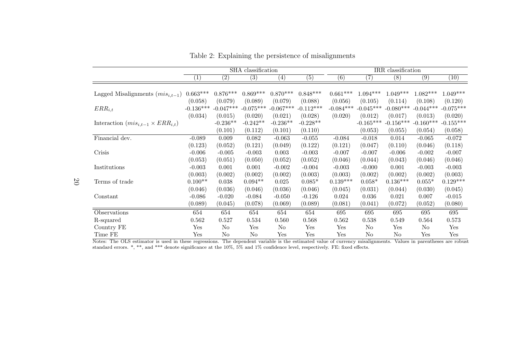|                                              |                   |                   | SHA classification |                   |                  |                  |             | IRR classification |             |                   |
|----------------------------------------------|-------------------|-------------------|--------------------|-------------------|------------------|------------------|-------------|--------------------|-------------|-------------------|
|                                              | $\left( 1\right)$ | $\left( 2\right)$ | (3)                | $\left( 4\right)$ | $\overline{(5)}$ | $\overline{(6)}$ | (7)         | (8)                | (9)         | $\left(10\right)$ |
|                                              |                   |                   |                    |                   |                  |                  |             |                    |             |                   |
| Lagged Misalignments $(mis_{i,t-1})$         | $0.663***$        | $0.876***$        | $0.869***$         | $0.870***$        | $0.848***$       | $0.661***$       | $1.094***$  | $1.049***$         | $1.082***$  | $1.049***$        |
|                                              | (0.058)           | (0.079)           | (0.089)            | (0.079)           | (0.088)          | (0.056)          | (0.105)     | (0.114)            | (0.108)     | (0.120)           |
| $ERR_{i,t}$                                  | $-0.136***$       | $-0.047***$       | $-0.075***$        | $-0.067***$       | $-0.112***$      | $-0.084***$      | $-0.045***$ | $-0.080***$        | $-0.044***$ | $-0.075***$       |
|                                              | (0.034)           | (0.015)           | (0.020)            | (0.021)           | (0.028)          | (0.020)          | (0.012)     | (0.017)            | (0.013)     | (0.020)           |
| Interaction $(mis_{i,t-1} \times ERR_{i,t})$ |                   | $-0.236**$        | $-0.242**$         | $-0.236**$        | $-0.228**$       |                  | $-0.165***$ | $-0.156***$        | $-0.160***$ | $-0.155***$       |
|                                              |                   | (0.101)           | (0.112)            | (0.101)           | (0.110)          |                  | (0.053)     | (0.055)            | (0.054)     | (0.058)           |
| Financial dev.                               | $-0.089$          | 0.009             | 0.082              | $-0.063$          | $-0.055$         | $-0.084$         | $-0.018$    | 0.014              | $-0.065$    | $-0.072$          |
|                                              | (0.123)           | (0.052)           | (0.121)            | (0.049)           | (0.122)          | (0.121)          | (0.047)     | (0.110)            | (0.046)     | (0.118)           |
| Crisis                                       | $-0.006$          | $-0.005$          | $-0.003$           | 0.003             | $-0.003$         | $-0.007$         | $-0.007$    | $-0.006$           | $-0.002$    | $-0.007$          |
|                                              | (0.053)           | (0.051)           | (0.050)            | (0.052)           | (0.052)          | (0.046)          | (0.044)     | (0.043)            | (0.046)     | (0.046)           |
| Institutions                                 | $-0.003$          | 0.001             | 0.001              | $-0.002$          | $-0.004$         | $-0.003$         | $-0.000$    | 0.001              | $-0.003$    | $-0.003$          |
|                                              | (0.003)           | (0.002)           | (0.002)            | (0.002)           | (0.003)          | (0.003)          | (0.002)     | (0.002)            | (0.002)     | (0.003)           |
| Terms of trade                               | $0.100**$         | 0.038             | $0.094**$          | 0.025             | $0.085*$         | $0.139***$       | $0.058*$    | $0.136***$         | $0.055*$    | $0.129***$        |
|                                              | (0.046)           | (0.036)           | (0.046)            | (0.036)           | (0.046)          | (0.045)          | (0.031)     | (0.044)            | (0.030)     | (0.045)           |
| Constant                                     | $-0.086$          | $-0.020$          | $-0.084$           | $-0.050$          | $-0.126$         | 0.024            | 0.036       | 0.021              | 0.007       | $-0.015$          |
|                                              | (0.089)           | (0.045)           | (0.078)            | (0.069)           | (0.089)          | (0.081)          | (0.041)     | (0.072)            | (0.052)     | (0.080)           |
| Observations                                 | 654               | 654               | 654                | 654               | 654              | 695              | 695         | 695                | 695         | 695               |
| R-squared                                    | 0.562             | 0.527             | 0.534              | 0.560             | 0.568            | 0.562            | 0.538       | 0.549              | 0.564       | 0.573             |
| Country FE                                   | Yes               | No                | Yes                | No                | Yes              | Yes              | No          | Yes                | No          | Yes               |
| Time FE                                      | Yes               | No                | $\rm No$           | Yes               | Yes              | Yes              | No          | $\rm No$           | Yes         | Yes               |

Table 2: Explaining the persistence of misalignments

Notes: The OLS estimator is used in these regressions. The dependent variable is the estimated value of currency misalignments. Values in parentheses are robust standard errors. \*, \*\*, and \*\*\* denote significance at the 10

<span id="page-19-0"></span>20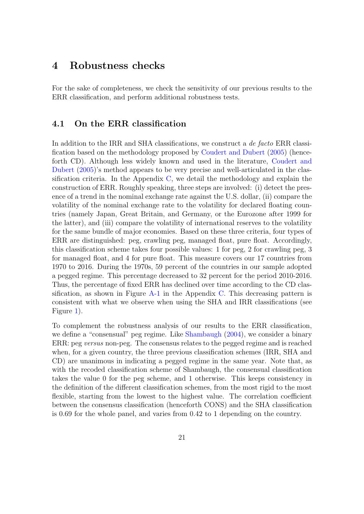### <span id="page-20-0"></span>4 Robustness checks

For the sake of completeness, we check the sensitivity of our previous results to the ERR classification, and perform additional robustness tests.

#### 4.1 On the ERR classification

In addition to the IRR and SHA classifications, we construct a de facto ERR classification based on the methodology proposed by [Coudert and Dubert](#page-37-11) [\(2005\)](#page-37-11) (henceforth CD). Although less widely known and used in the literature, [Coudert and](#page-37-11) [Dubert](#page-37-11) [\(2005\)](#page-37-11)'s method appears to be very precise and well-articulated in the classification criteria. In the Appendix [C,](#page-32-1) we detail the methodology and explain the construction of ERR. Roughly speaking, three steps are involved: (i) detect the presence of a trend in the nominal exchange rate against the U.S. dollar, (ii) compare the volatility of the nominal exchange rate to the volatility for declared floating countries (namely Japan, Great Britain, and Germany, or the Eurozone after 1999 for the latter), and (iii) compare the volatility of international reserves to the volatility for the same bundle of major economies. Based on these three criteria, four types of ERR are distinguished: peg, crawling peg, managed float, pure float. Accordingly, this classification scheme takes four possible values: 1 for peg, 2 for crawling peg, 3 for managed float, and 4 for pure float. This measure covers our 17 countries from 1970 to 2016. During the 1970s, 59 percent of the countries in our sample adopted a pegged regime. This percentage decreased to 32 percent for the period 2010-2016. Thus, the percentage of fixed ERR has declined over time according to the CD classification, as shown in Figure  $A-1$  in the Appendix [C.](#page-32-1) This decreasing pattern is consistent with what we observe when using the SHA and IRR classifications (see Figure [1\)](#page-9-0).

To complement the robustness analysis of our results to the ERR classification, we define a "consensual" peg regime. Like [Shambaugh](#page-40-8) [\(2004\)](#page-40-8), we consider a binary ERR: peg versus non-peg. The consensus relates to the pegged regime and is reached when, for a given country, the three previous classification schemes (IRR, SHA and CD) are unanimous in indicating a pegged regime in the same year. Note that, as with the recoded classification scheme of Shambaugh, the consensual classification takes the value 0 for the peg scheme, and 1 otherwise. This keeps consistency in the definition of the different classification schemes, from the most rigid to the most flexible, starting from the lowest to the highest value. The correlation coefficient between the consensus classification (henceforth CONS) and the SHA classification is 0.69 for the whole panel, and varies from 0.42 to 1 depending on the country.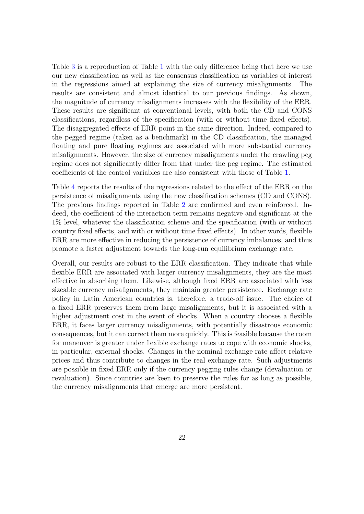Table [3](#page-22-0) is a reproduction of Table [1](#page-16-0) with the only difference being that here we use our new classification as well as the consensus classification as variables of interest in the regressions aimed at explaining the size of currency misalignments. The results are consistent and almost identical to our previous findings. As shown, the magnitude of currency misalignments increases with the flexibility of the ERR. These results are significant at conventional levels, with both the CD and CONS classifications, regardless of the specification (with or without time fixed effects). The disaggregated effects of ERR point in the same direction. Indeed, compared to the pegged regime (taken as a benchmark) in the CD classification, the managed floating and pure floating regimes are associated with more substantial currency misalignments. However, the size of currency misalignments under the crawling peg regime does not significantly differ from that under the peg regime. The estimated coefficients of the control variables are also consistent with those of Table [1.](#page-16-0)

Table [4](#page-23-0) reports the results of the regressions related to the effect of the ERR on the persistence of misalignments using the new classification schemes (CD and CONS). The previous findings reported in Table [2](#page-19-0) are confirmed and even reinforced. Indeed, the coefficient of the interaction term remains negative and significant at the 1% level, whatever the classification scheme and the specification (with or without country fixed effects, and with or without time fixed effects). In other words, flexible ERR are more effective in reducing the persistence of currency imbalances, and thus promote a faster adjustment towards the long-run equilibrium exchange rate.

Overall, our results are robust to the ERR classification. They indicate that while flexible ERR are associated with larger currency misalignments, they are the most effective in absorbing them. Likewise, although fixed ERR are associated with less sizeable currency misalignments, they maintain greater persistence. Exchange rate policy in Latin American countries is, therefore, a trade-off issue. The choice of a fixed ERR preserves them from large misalignments, but it is associated with a higher adjustment cost in the event of shocks. When a country chooses a flexible ERR, it faces larger currency misalignments, with potentially disastrous economic consequences, but it can correct them more quickly. This is feasible because the room for maneuver is greater under flexible exchange rates to cope with economic shocks, in particular, external shocks. Changes in the nominal exchange rate affect relative prices and thus contribute to changes in the real exchange rate. Such adjustments are possible in fixed ERR only if the currency pegging rules change (devaluation or revaluation). Since countries are keen to preserve the rules for as long as possible, the currency misalignments that emerge are more persistent.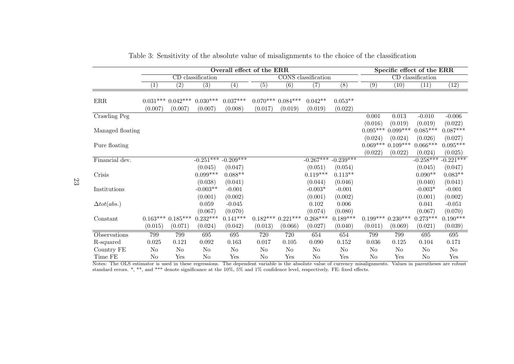| Overall effect of the ERR |                   |                          |                                                       |                           |                  |                                             |                  |                                           |                   |                                  |                                                                              |
|---------------------------|-------------------|--------------------------|-------------------------------------------------------|---------------------------|------------------|---------------------------------------------|------------------|-------------------------------------------|-------------------|----------------------------------|------------------------------------------------------------------------------|
|                           |                   |                          |                                                       |                           |                  |                                             |                  |                                           |                   |                                  |                                                                              |
| $\left(1\right)$          | $\left( 2\right)$ | $\overline{(3)}$         | (4)                                                   | $\left( 5\right)$         | $\overline{(6)}$ | $\overline{(7)}$                            | $\overline{(8)}$ | (9)                                       | $\left(10\right)$ | $\left(11\right)$                | (12)                                                                         |
|                           |                   |                          |                                                       |                           |                  |                                             |                  |                                           |                   |                                  |                                                                              |
|                           |                   |                          |                                                       |                           |                  | $0.042**$                                   | $0.053**$        |                                           |                   |                                  |                                                                              |
| (0.007)                   | (0.007)           | (0.007)                  | (0.008)                                               | (0.017)                   | (0.019)          | (0.019)                                     | (0.022)          |                                           |                   |                                  |                                                                              |
|                           |                   |                          |                                                       |                           |                  |                                             |                  | 0.001                                     | 0.013             | $-0.010$                         | $-0.006$                                                                     |
|                           |                   |                          |                                                       |                           |                  |                                             |                  | (0.016)                                   | (0.019)           | (0.019)                          | (0.022)                                                                      |
| Managed floating          |                   |                          |                                                       |                           |                  |                                             |                  |                                           | $0.099***$        |                                  | $0.087***$                                                                   |
|                           |                   |                          |                                                       |                           |                  |                                             |                  | (0.024)                                   | (0.024)           | (0.026)                          | (0.027)                                                                      |
|                           |                   |                          |                                                       |                           |                  |                                             |                  | $0.069***$                                | $0.109***$        | $0.066***$                       | $0.095***$                                                                   |
|                           |                   |                          |                                                       |                           |                  |                                             |                  | (0.022)                                   | (0.022)           | (0.024)                          | (0.025)                                                                      |
|                           |                   |                          | $-0.209***$                                           |                           |                  |                                             | $-0.239***$      |                                           |                   |                                  | $-0.221***$                                                                  |
|                           |                   | (0.045)                  | (0.047)                                               |                           |                  | (0.051)                                     | (0.054)          |                                           |                   | (0.045)                          | (0.047)                                                                      |
|                           |                   | $0.099***$               | $0.088**$                                             |                           |                  | $0.119***$                                  | $0.113**$        |                                           |                   | $0.090**$                        | $0.083**$                                                                    |
|                           |                   | (0.038)                  | (0.041)                                               |                           |                  | (0.044)                                     | (0.046)          |                                           |                   | (0.040)                          | (0.041)                                                                      |
|                           |                   | $-0.003**$               | $-0.001$                                              |                           |                  | $-0.003*$                                   | $-0.001$         |                                           |                   | $-0.003^{\ast}$                  | $-0.001$                                                                     |
|                           |                   | (0.001)                  | (0.002)                                               |                           |                  | (0.001)                                     | (0.002)          |                                           |                   | (0.001)                          | (0.002)                                                                      |
|                           |                   | 0.059                    | $-0.045$                                              |                           |                  | 0.102                                       | 0.006            |                                           |                   | 0.041                            | $-0.051$                                                                     |
|                           |                   | (0.067)                  | (0.070)                                               |                           |                  | (0.074)                                     | (0.080)          |                                           |                   | (0.067)                          | (0.070)                                                                      |
|                           |                   | $0.232***$               | $0.141***$                                            |                           |                  | $0.268***$                                  | $0.189***$       |                                           |                   | $0.273***$                       | $0.190***$                                                                   |
| (0.015)                   | (0.071)           | (0.024)                  | (0.042)                                               | (0.013)                   | (0.066)          | (0.027)                                     | (0.040)          | (0.011)                                   | (0.069)           | (0.021)                          | (0.039)                                                                      |
| 799                       | 799               | 695                      | 695                                                   | 720                       | 720              | 654                                         | 654              | 799                                       | 799               | 695                              | 695                                                                          |
| 0.025                     | 0.121             | 0.092                    | 0.163                                                 | 0.017                     | 0.105            | 0.090                                       | $0.152\,$        | $0.036\,$                                 | 0.125             | 0.104                            | 0.171                                                                        |
| $\rm No$                  | N <sub>o</sub>    | $\rm No$                 | $\rm No$                                              | $\rm No$                  | No               | $\rm No$                                    | $\rm No$         | $\rm No$                                  | $\rm No$          | $\rm No$                         | $\rm No$                                                                     |
| $\rm No$                  | Yes               | $\rm No$                 | Yes                                                   | No                        | Yes              | N <sub>o</sub>                              | Yes              | N <sub>o</sub>                            | Yes               | No                               | Yes                                                                          |
|                           |                   | $0.163***$<br>$0.185***$ | CD classification<br>$0.030***$<br>$0.031***0.042***$ | $0.037***$<br>$-0.251***$ |                  | $0.070***$ $0.084***$<br>$0.182***0.221***$ |                  | <b>CONS</b> classification<br>$-0.267***$ |                   | $0.095***$<br>$0.199***0.230***$ | Specific effect of the ERR<br>CD classification<br>$0.085***$<br>$-0.258***$ |

Table 3: Sensitivity of the absolute value of misalignments to the choice of the classification

Notes: The OLS estimator is used in these regressions. The dependent variable is the absolute value of currency misalignments. Values in parentheses are robust standard errors. \*, \*\*, and \*\*\* denote significance at the 10%

<span id="page-22-0"></span>23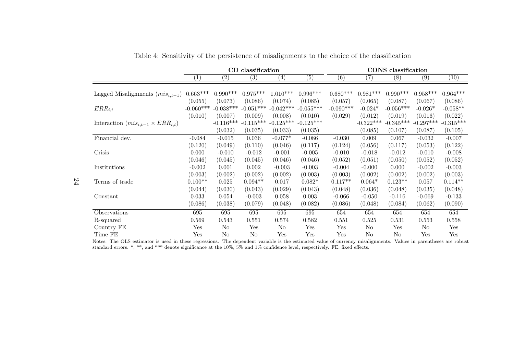|                                              |                      |                  | CD classification |                   |                  |                  |                   | <b>CONS</b> classification |             |             |
|----------------------------------------------|----------------------|------------------|-------------------|-------------------|------------------|------------------|-------------------|----------------------------|-------------|-------------|
|                                              | (1)                  | $\overline{(2)}$ | (3)               | $\left( 4\right)$ | $\overline{(5)}$ | $\overline{(6)}$ | $\left( 7\right)$ | (8)                        | (9)         | (10)        |
|                                              |                      |                  |                   |                   |                  |                  |                   |                            |             |             |
| Lagged Misalignments $(mis_{i,t-1})$         | $0.663***$           | $0.990***$       | $0.975***$        | $1.010***$        | $0.996***$       | $0.680***$       | $0.981***$        | $0.990***$                 | $0.958***$  | $0.964***$  |
|                                              | (0.055)              | (0.073)          | (0.086)           | (0.074)           | (0.085)          | (0.057)          | (0.065)           | (0.087)                    | (0.067)     | (0.086)     |
| $ERR_{i,t}$                                  | $-0.060***$          | $-0.038***$      | $-0.051***$       | $-0.042***$       | $-0.055***$      | $-0.090***$      | $-0.024*$         | $-0.056***$                | $-0.026*$   | $-0.058**$  |
|                                              | (0.010)              | (0.007)          | (0.009)           | (0.008)           | (0.010)          | (0.029)          | (0.012)           | (0.019)                    | (0.016)     | (0.022)     |
| Interaction $(mis_{i,t-1} \times ERR_{i,t})$ |                      | $-0.116***$      | $-0.115***$       | $-0.125***$       | $-0.125***$      |                  | $-0.322***$       | $-0.345***$                | $-0.297***$ | $-0.315***$ |
|                                              |                      | (0.032)          | (0.035)           | (0.033)           | (0.035)          |                  | (0.085)           | (0.107)                    | (0.087)     | (0.105)     |
| Financial dev.                               | $-0.084$             | $-0.015$         | 0.036             | $-0.077*$         | $-0.086$         | $-0.030$         | 0.009             | 0.067                      | $-0.032$    | $-0.007$    |
|                                              | (0.120)              | (0.049)          | (0.110)           | (0.046)           | (0.117)          | (0.124)          | (0.056)           | (0.117)                    | (0.053)     | (0.122)     |
| Crisis                                       | 0.000                | $-0.010$         | $-0.012$          | $-0.001$          | $-0.005$         | $-0.010$         | $-0.018$          | $-0.012$                   | $-0.010$    | $-0.008$    |
|                                              | (0.046)              | (0.045)          | (0.045)           | (0.046)           | (0.046)          | (0.052)          | (0.051)           | (0.050)                    | (0.052)     | (0.052)     |
| Institutions                                 | $-0.002$             | 0.001            | 0.002             | $-0.003$          | $-0.003$         | $-0.004$         | $-0.000$          | 0.000                      | $-0.002$    | $-0.003$    |
|                                              | (0.003)              | (0.002)          | (0.002)           | (0.002)           | (0.003)          | (0.003)          | (0.002)           | (0.002)                    | (0.002)     | (0.003)     |
| Terms of trade                               | $0.100**$            | 0.025            | $0.094**$         | 0.017             | $0.082*$         | $0.117**$        | $0.064*$          | $0.123**$                  | 0.057       | $0.114**$   |
|                                              | (0.044)              | (0.030)          | (0.043)           | (0.029)           | (0.043)          | (0.048)          | (0.036)           | (0.048)                    | (0.035)     | (0.048)     |
| Constant                                     | 0.033                | 0.054            | $-0.003$          | 0.058             | 0.003            | $-0.066$         | $-0.050$          | $-0.116$                   | $-0.069$    | $-0.133$    |
|                                              | (0.086)              | (0.038)          | (0.079)           | (0.048)           | (0.082)          | (0.086)          | (0.048)           | (0.084)                    | (0.062)     | (0.090)     |
| Observations                                 | 695                  | 695              | 695               | 695               | 695              | 654              | 654               | 654                        | 654         | 654         |
| R-squared                                    | 0.569                | 0.543            | 0.551             | 0.574             | 0.582            | 0.551            | 0.525             | 0.531                      | 0.553       | 0.558       |
| Country FE                                   | $\operatorname{Yes}$ | No               | Yes               | No                | Yes              | Yes              | No                | Yes                        | No          | Yes         |
| Time FE                                      | $\operatorname{Yes}$ | No               | No                | Yes               | Yes              | Yes              | No                | No                         | Yes         | Yes         |

Table 4: Sensitivity of the persistence of misalignments to the choice of the classification

<span id="page-23-0"></span>Notes: The OLS estimator is used in these regressions. The dependent variable is the estimated value of currency misalignments. Values in parentheses are robust standard errors. \*, \*\*, and \*\*\* denote significance at the 10

24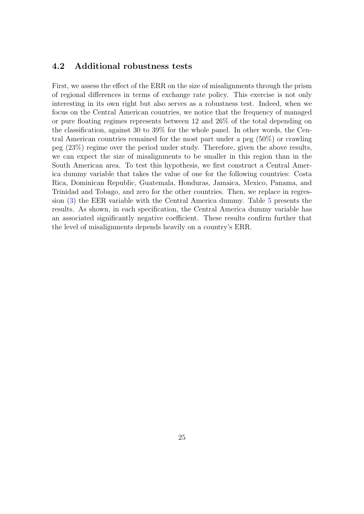#### <span id="page-24-0"></span>4.2 Additional robustness tests

First, we assess the effect of the ERR on the size of misalignments through the prism of regional differences in terms of exchange rate policy. This exercise is not only interesting in its own right but also serves as a robustness test. Indeed, when we focus on the Central American countries, we notice that the frequency of managed or pure floating regimes represents between 12 and 26% of the total depending on the classification, against 30 to 39% for the whole panel. In other words, the Central American countries remained for the most part under a peg (50%) or crawling peg (23%) regime over the period under study. Therefore, given the above results, we can expect the size of misalignments to be smaller in this region than in the South American area. To test this hypothesis, we first construct a Central America dummy variable that takes the value of one for the following countries: Costa Rica, Dominican Republic, Guatemala, Honduras, Jamaica, Mexico, Panama, and Trinidad and Tobago, and zero for the other countries. Then, we replace in regression [\(3\)](#page-6-0) the EER variable with the Central America dummy. Table [5](#page-25-0) presents the results. As shown, in each specification, the Central America dummy variable has an associated significantly negative coefficient. These results confirm further that the level of misalignments depends heavily on a country's ERR.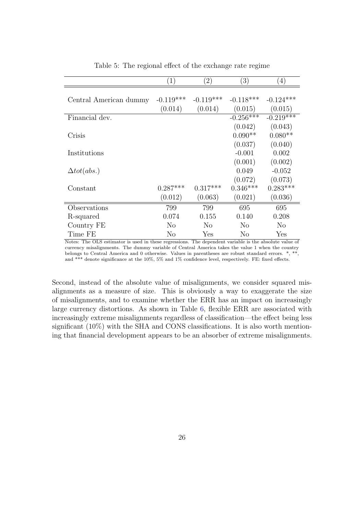<span id="page-25-0"></span>

|                        | $\left( 1\right)$ | $\left( 2\right)$ | $\left( 3\right)$ | $\left(4\right)$ |
|------------------------|-------------------|-------------------|-------------------|------------------|
|                        |                   |                   |                   |                  |
| Central American dummy | $-0.119***$       | $-0.119***$       | $-0.118***$       | $-0.124***$      |
|                        | (0.014)           | (0.014)           | (0.015)           | (0.015)          |
| Financial dev.         |                   |                   | $-0.256***$       | $-0.219***$      |
|                        |                   |                   | (0.042)           | (0.043)          |
| Crisis                 |                   |                   | $0.090**$         | $0.080**$        |
|                        |                   |                   | (0.037)           | (0.040)          |
| Institutions           |                   |                   | $-0.001$          | 0.002            |
|                        |                   |                   | (0.001)           | (0.002)          |
| $\Delta tot(abs.)$     |                   |                   | 0.049             | $-0.052$         |
|                        |                   |                   | (0.072)           | (0.073)          |
| Constant               | $0.287***$        | $0.317***$        | $0.346***$        | $0.283***$       |
|                        | (0.012)           | (0.063)           | (0.021)           | (0.036)          |
| Observations           | 799               | 799               | 695               | 695              |
| R-squared              | 0.074             | 0.155             | 0.140             | 0.208            |
| Country FE             | No                | N <sub>o</sub>    | N <sub>o</sub>    | N <sub>o</sub>   |
| Time FE                | No                | Yes               | No                | Yes              |

Table 5: The regional effect of the exchange rate regime

Notes: The OLS estimator is used in these regressions. The dependent variable is the absolute value of currency misalignments. The dummy variable of Central America takes the value 1 when the country belongs to Central America and 0 otherwise. Values in parentheses are robust standard errors. \*, \*\*, and \*\*\* denote significance at the 10%, 5% and 1% confidence level, respectively. FE: fixed effects.

Second, instead of the absolute value of misalignments, we consider squared misalignments as a measure of size. This is obviously a way to exaggerate the size of misalignments, and to examine whether the ERR has an impact on increasingly large currency distortions. As shown in Table [6,](#page-26-1) flexible ERR are associated with increasingly extreme misalignments regardless of classification—the effect being less significant (10%) with the SHA and CONS classifications. It is also worth mentioning that financial development appears to be an absorber of extreme misalignments.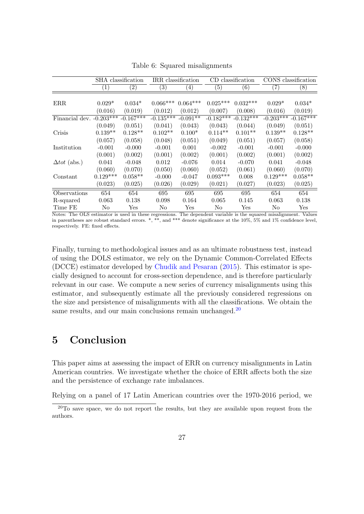<span id="page-26-1"></span>

|                            |                   | SHA classification | IRR classification |                      |                   | CD classification    |                   | CONS classification  |
|----------------------------|-------------------|--------------------|--------------------|----------------------|-------------------|----------------------|-------------------|----------------------|
|                            | $\left( 1\right)$ | $\left( 2\right)$  | $\left(3\right)$   | $\left(4\right)$     | $\left( 5\right)$ | $\left(6\right)$     | $\left( 7\right)$ | (8)                  |
|                            |                   |                    |                    |                      |                   |                      |                   |                      |
| ERR                        | $0.029*$          | $0.034*$           | $0.066***$         | $0.064***$           | $0.025***$        | $0.032***$           | $0.029*$          | $0.034*$             |
|                            | (0.016)           | (0.019)            | (0.012)            | (0.012)              | (0.007)           | (0.008)              | (0.016)           | (0.019)              |
| Financial dev. $-0.203***$ |                   | $-0.167***$        | $-0.135***$        | $-0.091**$           | $-0.182***$       | $-0.132***$          | $-0.203***$       | $-0.167***$          |
|                            | (0.049)           | (0.051)            | (0.041)            | (0.043)              | (0.043)           | (0.044)              | (0.049)           | (0.051)              |
| Crisis                     | $0.139**$         | $0.128**$          | $0.102**$          | $0.100*$             | $0.114**$         | $0.101**$            | $0.139**$         | $0.128**$            |
|                            | (0.057)           | (0.058)            | (0.048)            | (0.051)              | (0.049)           | (0.051)              | (0.057)           | (0.058)              |
| Institution                | $-0.001$          | $-0.000$           | $-0.001$           | 0.001                | $-0.002$          | $-0.001$             | $-0.001$          | $-0.000$             |
|                            | (0.001)           | (0.002)            | (0.001)            | (0.002)              | (0.001)           | (0.002)              | (0.001)           | (0.002)              |
| $\Delta tot$ (abs.)        | 0.041             | $-0.048$           | 0.012              | $-0.076$             | 0.014             | $-0.070$             | 0.041             | $-0.048$             |
|                            | (0.060)           | (0.070)            | (0.050)            | (0.060)              | (0.052)           | (0.061)              | (0.060)           | (0.070)              |
| Constant                   | $0.129***$        | $0.058**$          | $-0.000$           | $-0.047$             | $0.093***$        | 0.008                | $0.129***$        | $0.058**$            |
|                            | (0.023)           | (0.025)            | (0.026)            | (0.029)              | (0.021)           | (0.027)              | (0.023)           | (0.025)              |
| Observations               | 654               | 654                | 695                | 695                  | 695               | 695                  | 654               | 654                  |
| R-squared                  | 0.063             | 0.138              | 0.098              | 0.164                | 0.065             | 0.145                | 0.063             | 0.138                |
| Time FE                    | No                | Yes                | No                 | $\operatorname{Yes}$ | No                | $\operatorname{Yes}$ | N <sub>0</sub>    | $\operatorname{Yes}$ |

Table 6: Squared misalignments

Notes: The OLS estimator is used in these regressions. The dependent variable is the squared misalignment. Values in parentheses are robust standard errors. \*, \*\*, and \*\*\* denote significance at the 10%, 5% and 1% confidence level, respectively. FE: fixed effects.

Finally, turning to methodological issues and as an ultimate robustness test, instead of using the DOLS estimator, we rely on the Dynamic Common-Correlated Effects (DCCE) estimator developed by [Chudik and Pesaran](#page-36-10) [\(2015\)](#page-36-10). This estimator is specially designed to account for cross-section dependence, and is therefore particularly relevant in our case. We compute a new series of currency misalignments using this estimator, and subsequently estimate all the previously considered regressions on the size and persistence of misalignments with all the classifications. We obtain the same results, and our main conclusions remain unchanged.<sup>[20](#page-26-2)</sup>

# <span id="page-26-0"></span>5 Conclusion

This paper aims at assessing the impact of ERR on currency misalignments in Latin American countries. We investigate whether the choice of ERR affects both the size and the persistence of exchange rate imbalances.

Relying on a panel of 17 Latin American countries over the 1970-2016 period, we

<span id="page-26-2"></span><sup>&</sup>lt;sup>20</sup>To save space, we do not report the results, but they are available upon request from the authors.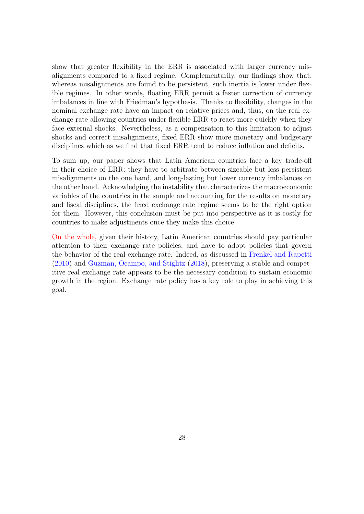show that greater flexibility in the ERR is associated with larger currency misalignments compared to a fixed regime. Complementarily, our findings show that, whereas misalignments are found to be persistent, such inertia is lower under flexible regimes. In other words, floating ERR permit a faster correction of currency imbalances in line with Friedman's hypothesis. Thanks to flexibility, changes in the nominal exchange rate have an impact on relative prices and, thus, on the real exchange rate allowing countries under flexible ERR to react more quickly when they face external shocks. Nevertheless, as a compensation to this limitation to adjust shocks and correct misalignments, fixed ERR show more monetary and budgetary disciplines which as we find that fixed ERR tend to reduce inflation and deficits.

To sum up, our paper shows that Latin American countries face a key trade-off in their choice of ERR: they have to arbitrate between sizeable but less persistent misalignments on the one hand, and long-lasting but lower currency imbalances on the other hand. Acknowledging the instability that characterizes the macroeconomic variables of the countries in the sample and accounting for the results on monetary and fiscal disciplines, the fixed exchange rate regime seems to be the right option for them. However, this conclusion must be put into perspective as it is costly for countries to make adjustments once they make this choice.

On the whole, given their history, Latin American countries should pay particular attention to their exchange rate policies, and have to adopt policies that govern the behavior of the real exchange rate. Indeed, as discussed in [Frenkel and Rapetti](#page-38-0) [\(2010\)](#page-38-0) and [Guzman, Ocampo, and Stiglitz](#page-39-0) [\(2018\)](#page-39-0), preserving a stable and competitive real exchange rate appears to be the necessary condition to sustain economic growth in the region. Exchange rate policy has a key role to play in achieving this goal.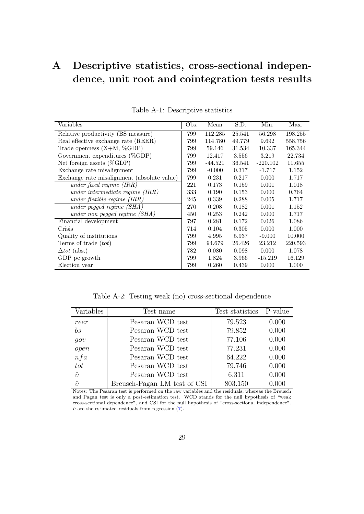# <span id="page-28-1"></span>A Descriptive statistics, cross-sectional independence, unit root and cointegration tests results

<span id="page-28-2"></span>

| Variables                                   | Obs. | Mean      | S.D.   | Min.       | Max.    |
|---------------------------------------------|------|-----------|--------|------------|---------|
| Relative productivity (BS measure)          | 799  | 112.285   | 25.541 | 56.298     | 198.255 |
| Real effective exchange rate (REER)         | 799  | 114.780   | 49.779 | 9.692      | 558.756 |
| Trade openness $(X+M, \%\text{GDP})$        | 799  | 59.146    | 31.534 | 10.337     | 165.344 |
| Government expenditures $(\%GDP)$           | 799  | 12.417    | 3.556  | 3.219      | 22.734  |
| Net foreign assets $(\%GDP)$                | 799  | $-44.521$ | 36.541 | $-220.102$ | 11.655  |
| Exchange rate misalignment                  | 799  | $-0.000$  | 0.317  | $-1.717$   | 1.152   |
| Exchange rate misalignment (absolute value) | 799  | 0.231     | 0.217  | 0.000      | 1.717   |
| under fixed regime $(IRR)$                  | 221  | 0.173     | 0.159  | 0.001      | 1.018   |
| under intermediate regime $(IRR)$           | 333  | 0.190     | 0.153  | 0.000      | 0.764   |
| under flexible regime $(IRR)$               | 245  | 0.339     | 0.288  | 0.005      | 1.717   |
| under pegged regime $(SHA)$                 | 270  | 0.208     | 0.182  | 0.001      | 1.152   |
| under non pegged regime (SHA)               | 450  | 0.253     | 0.242  | 0.000      | 1.717   |
| Financial development                       | 797  | 0.281     | 0.172  | 0.026      | 1.086   |
| Crisis                                      | 714  | 0.104     | 0.305  | 0.000      | 1.000   |
| Quality of institutions                     | 799  | 4.995     | 5.937  | $-9.000$   | 10.000  |
| Terms of trade $(tot)$                      | 799  | 94.679    | 26.426 | 23.212     | 220.593 |
| $\Delta tot$ (abs.)                         | 782  | 0.080     | 0.098  | 0.000      | 1.078   |
| GDP pc growth                               | 799  | 1.824     | 3.966  | $-15.219$  | 16.129  |
| Election year                               | 799  | 0.260     | 0.439  | 0.000      | 1.000   |

Table A-1: Descriptive statistics

Table A-2: Testing weak (no) cross-sectional dependence

<span id="page-28-0"></span>

| Variables       | Test name                    | Test statistics | P-value |
|-----------------|------------------------------|-----------------|---------|
| reer            | Pesaran WCD test             | 79.523          | 0.000   |
| $b\overline{s}$ | Pesaran WCD test             | 79.852          | 0.000   |
| qov             | Pesaran WCD test             | 77.106          | 0.000   |
| open            | Pesaran WCD test             | 77.231          | 0.000   |
| nfa             | Pesaran WCD test             | 64.222          | 0.000   |
| tot             | Pesaran WCD test             | 79.746          | 0.000   |
| $\hat{v}$       | Pesaran WCD test             | 6.311           | 0.000   |
| $\hat{v}$       | Breusch-Pagan LM test of CSI | 803.150         | 0.000   |

Notes: The Pesaran test is performed on the raw variables and the residuals, whereas the Breusch and Pagan test is only a post-estimation test. WCD stands for the null hypothesis of "weak cross-sectional dependence", and CSI for the null hypothesis of "cross-sectional independence".  $\hat{v}$  are the estimated residuals from regression [\(7\)](#page-12-2).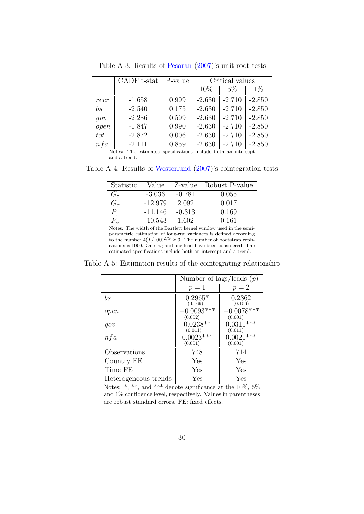<span id="page-29-0"></span>

|                 | CADF t-stat                                                                                | P-value |          | Critical values |          |
|-----------------|--------------------------------------------------------------------------------------------|---------|----------|-----------------|----------|
|                 |                                                                                            |         | 10%      | $5\%$           | $1\%$    |
| reer            | $-1.658$                                                                                   | 0.999   | $-2.630$ | $-2.710$        | $-2.850$ |
| $b\overline{s}$ | $-2.540$                                                                                   | 0.175   | $-2.630$ | $-2.710$        | $-2.850$ |
| qov             | $-2.286$                                                                                   | 0.599   | $-2.630$ | $-2.710$        | $-2.850$ |
| open            | $-1.847$                                                                                   | 0.990   | $-2.630$ | $-2.710$        | $-2.850$ |
| tot             | $-2.872$                                                                                   | 0.006   | $-2.630$ | $-2.710$        | $-2.850$ |
| nfa             | $-2.111$<br>The contract of an experiment to ded to the first contract and<br>$N_{\rm{L}}$ | 0.859   | $-2.630$ | $-2.710$        | $-2.850$ |

Table A-3: Results of [Pesaran](#page-40-10) [\(2007\)](#page-40-10)'s unit root tests

Notes: The estimated specifications include both an intercept and a trend.

<span id="page-29-1"></span>Table A-4: Results of [Westerlund](#page-40-11) [\(2007\)](#page-40-11)'s cointegration tests

| Statistic    | Value     | Z-value  | Robust P-value |
|--------------|-----------|----------|----------------|
| $G_\tau$     | $-3.036$  | $-0.781$ | 0.055          |
| $G_{\alpha}$ | $-12.979$ | 2.092    | 0.017          |
| $P_{\tau}$   | $-11.146$ | $-0.313$ | 0.169          |
|              | $-10.543$ | 1.602    | 0.161          |

Notes: The width of the Bartlett kernel window used in the semiparametric estimation of long-run variances is defined according to the number  $4(T/100)^{2/9} \approx 3$ . The number of bootstrap replications is 1000. One lag and one lead have been considered. The estimated specifications include both an intercept and a trend.

<span id="page-29-2"></span>Table A-5: Estimation results of the cointegrating relationship

|                      | Number of lags/leads $(p)$ |                         |
|----------------------|----------------------------|-------------------------|
|                      | $p=1$                      | $p=2$                   |
| $_{bs}$              | $0.2965*$<br>(0.169)       | 0.2362<br>(0.156)       |
| open                 | $-0.0093***$<br>(0.002)    | $-0.0078***$<br>(0.001) |
| qov                  | $0.0238**$<br>(0.011)      | $0.0311***$<br>(0.011)  |
| nfa                  | $0.0023***$<br>(0.001)     | $0.0021***$<br>(0.001)  |
| Observations         | 748                        | 714                     |
| Country FE           | Yes                        | Yes                     |
| Time FE              | Yes                        | Yes                     |
| Heterogeneous trends | Yes                        | Yes                     |

Notes:  $\ast$ ,  $\ast\ast$ , and  $\ast\ast\ast$  denote significance at the 10\%, 5\% and 1% confidence level, respectively. Values in parentheses are robust standard errors. FE: fixed effects.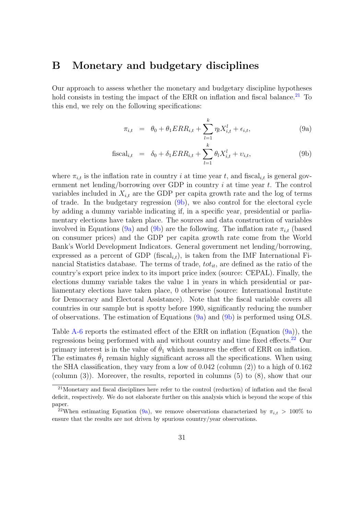### <span id="page-30-0"></span>B Monetary and budgetary disciplines

Our approach to assess whether the monetary and budgetary discipline hypotheses hold consists in testing the impact of the ERR on inflation and fiscal balance.<sup>[21](#page-30-1)</sup> To this end, we rely on the following specifications:

<span id="page-30-2"></span>
$$
\pi_{i,t} = \theta_0 + \theta_1 ERR_{i,t} + \sum_{l=1}^{k} \eta_l X_{i,t}^l + \epsilon_{i,t},
$$
\n(9a)

$$
\text{fiscal}_{i,t} = \delta_0 + \delta_1 ERR_{i,t} + \sum_{l=1}^k \theta_l X_{i,t}^l + \upsilon_{i,t},\tag{9b}
$$

where  $\pi_{i,t}$  is the inflation rate in country i at time year t, and fiscal<sub>it</sub> is general government net lending/borrowing over GDP in country  $i$  at time year  $t$ . The control variables included in  $X_{i,t}$  are the GDP per capita growth rate and the log of terms of trade. In the budgetary regression [\(9b\)](#page-30-2), we also control for the electoral cycle by adding a dummy variable indicating if, in a specific year, presidential or parliamentary elections have taken place. The sources and data construction of variables involved in Equations [\(9a\)](#page-30-0) and [\(9b\)](#page-30-2) are the following. The inflation rate  $\pi_{i,t}$  (based on consumer prices) and the GDP per capita growth rate come from the World Bank's World Development Indicators. General government net lending/borrowing, expressed as a percent of GDP (fiscal<sub>i,t</sub>), is taken from the IMF International Financial Statistics database. The terms of trade,  $tot_{it}$ , are defined as the ratio of the country's export price index to its import price index (source: CEPAL). Finally, the elections dummy variable takes the value 1 in years in which presidential or parliamentary elections have taken place, 0 otherwise (source: International Institute for Democracy and Electoral Assistance). Note that the fiscal variable covers all countries in our sample but is spotty before 1990, significantly reducing the number of observations. The estimation of Equations  $(9a)$  and  $(9b)$  is performed using OLS.

Table [A-6](#page-31-0) reports the estimated effect of the ERR on inflation (Equation [\(9a\)](#page-30-0)), the regressions being performed with and without country and time fixed effects.<sup>[22](#page-30-3)</sup> Our primary interest is in the value of  $\hat{\theta}_1$  which measures the effect of ERR on inflation. The estimates  $\hat{\theta}_1$  remain highly significant across all the specifications. When using the SHA classification, they vary from a low of 0.042 (column (2)) to a high of 0.162 (column (3)). Moreover, the results, reported in columns (5) to (8), show that our

<span id="page-30-1"></span><sup>21</sup>Monetary and fiscal disciplines here refer to the control (reduction) of inflation and the fiscal deficit, respectively. We do not elaborate further on this analysis which is beyond the scope of this paper.

<span id="page-30-3"></span><sup>&</sup>lt;sup>22</sup>When estimating Equation [\(9a\)](#page-30-0), we remove observations characterized by  $\pi_{i,t} > 100\%$  to ensure that the results are not driven by spurious country/year observations.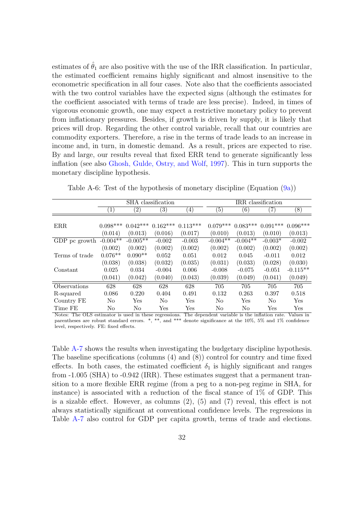estimates of  $\hat{\theta}_1$  are also positive with the use of the IRR classification. In particular, the estimated coefficient remains highly significant and almost insensitive to the econometric specification in all four cases. Note also that the coefficients associated with the two control variables have the expected signs (although the estimates for the coefficient associated with terms of trade are less precise). Indeed, in times of vigorous economic growth, one may expect a restrictive monetary policy to prevent from inflationary pressures. Besides, if growth is driven by supply, it is likely that prices will drop. Regarding the other control variable, recall that our countries are commodity exporters. Therefore, a rise in the terms of trade leads to an increase in income and, in turn, in domestic demand. As a result, prices are expected to rise. By and large, our results reveal that fixed ERR tend to generate significantly less inflation (see also [Ghosh, Gulde, Ostry, and Wolf,](#page-38-11) [1997\)](#page-38-11). This in turn supports the monetary discipline hypothesis.

|                |                   |                   | SHA classification |                      |                  |            | IRR classification |                  |
|----------------|-------------------|-------------------|--------------------|----------------------|------------------|------------|--------------------|------------------|
|                | $\left( 1\right)$ | $\left( 2\right)$ | $\left( 3\right)$  | $\left(4\right)$     | $\left(5\right)$ | (6)        | $\left( 7\right)$  | $\left(8\right)$ |
|                |                   |                   |                    |                      |                  |            |                    |                  |
| ERR.           | $0.098***$        | $0.042***$        | $0.162***$         | $0.113***$           | $0.079***$       | $0.083***$ | $0.091***$         | $0.096***$       |
|                | (0.014)           | (0.013)           | (0.016)            | (0.017)              | (0.010)          | (0.013)    | (0.010)            | (0.013)          |
| GDP pc growth  | $-0.004**$        | $-0.005**$        | $-0.002$           | $-0.003$             | $-0.004**$       | $-0.004**$ | $-0.003*$          | $-0.002$         |
|                | (0.002)           | (0.002)           | (0.002)            | (0.002)              | (0.002)          | (0.002)    | (0.002)            | (0.002)          |
| Terms of trade | $0.076**$         | $0.090**$         | 0.052              | 0.051                | 0.012            | 0.045      | $-0.011$           | 0.012            |
|                | (0.038)           | (0.038)           | (0.032)            | (0.035)              | (0.031)          | (0.033)    | (0.028)            | (0.030)          |
| Constant       | 0.025             | 0.034             | $-0.004$           | 0.006                | $-0.008$         | $-0.075$   | $-0.051$           | $-0.115**$       |
|                | (0.041)           | (0.042)           | (0.040)            | (0.043)              | (0.039)          | (0.049)    | (0.041)            | (0.049)          |
| Observations   | 628               | 628               | 628                | 628                  | 705              | 705        | 705                | 705              |
| R-squared      | 0.086             | 0.220             | 0.404              | 0.491                | 0.132            | 0.263      | 0.397              | 0.518            |
| Country FE     | N <sub>o</sub>    | Yes               | No                 | $\operatorname{Yes}$ | N <sub>o</sub>   | Yes        | No.                | Yes              |
| Time FE        | $\rm No$          | N <sub>o</sub>    | Yes                | Yes                  | No               | $\rm No$   | Yes                | Yes              |

<span id="page-31-0"></span>Table A-6: Test of the hypothesis of monetary discipline (Equation [\(9a\)](#page-30-0))

Notes: The OLS estimator is used in these regressions. The dependent variable is the inflation rate. Values in parentheses are robust standard errors. \*, \*\*, and \*\*\* denote significance at the 10%, 5% and 1% confidence level, respectively. FE: fixed effects.

Table [A-7](#page-32-0) shows the results when investigating the budgetary discipline hypothesis. The baseline specifications (columns (4) and (8)) control for country and time fixed effects. In both cases, the estimated coefficient  $\delta_1$  is highly significant and ranges from -1.005 (SHA) to -0.942 (IRR). These estimates suggest that a permanent transition to a more flexible ERR regime (from a peg to a non-peg regime in SHA, for instance) is associated with a reduction of the fiscal stance of  $1\%$  of GDP. This is a sizable effect. However, as columns (2), (5) and (7) reveal, this effect is not always statistically significant at conventional confidence levels. The regressions in Table [A-7](#page-32-0) also control for GDP per capita growth, terms of trade and elections.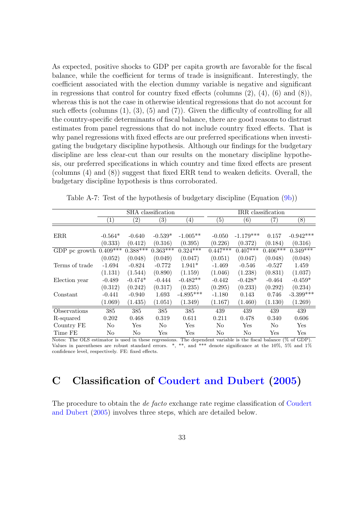As expected, positive shocks to GDP per capita growth are favorable for the fiscal balance, while the coefficient for terms of trade is insignificant. Interestingly, the coefficient associated with the election dummy variable is negative and significant in regressions that control for country fixed effects (columns  $(2)$ ,  $(4)$ ,  $(6)$  and  $(8)$ ), whereas this is not the case in otherwise identical regressions that do not account for such effects (columns  $(1), (3), (5)$  and  $(7)$ ). Given the difficulty of controlling for all the country-specific determinants of fiscal balance, there are good reasons to distrust estimates from panel regressions that do not include country fixed effects. That is why panel regressions with fixed effects are our preferred specifications when investigating the budgetary discipline hypothesis. Although our findings for the budgetary discipline are less clear-cut than our results on the monetary discipline hypothesis, our preferred specifications in which country and time fixed effects are present (columns (4) and (8)) suggest that fixed ERR tend to weaken deficits. Overall, the budgetary discipline hypothesis is thus corroborated.

|                | SHA classification<br>$\left( 2\right)$<br>$\left( 3\right)$<br>$\left(4\right)$<br>$\left(1\right)$ |            |                      |                      | IRR classification |                  |                      |                      |
|----------------|------------------------------------------------------------------------------------------------------|------------|----------------------|----------------------|--------------------|------------------|----------------------|----------------------|
|                |                                                                                                      |            |                      |                      | $\left( 5\right)$  | $\left(6\right)$ | $\left( 7\right)$    | (8)                  |
|                |                                                                                                      |            |                      |                      |                    |                  |                      |                      |
| ERR.           | $-0.564*$                                                                                            | $-0.640$   | $-0.539*$            | $-1.005**$           | $-0.050$           | $-1.179***$      | 0.157                | $-0.942***$          |
|                | (0.333)                                                                                              | (0.412)    | (0.316)              | (0.395)              | (0.226)            | (0.372)          | (0.184)              | (0.316)              |
| GDP pc growth  | $0.409***$                                                                                           | $0.388***$ | $0.363***$           | $0.324***$           | $0.447***$         | $0.407***$       | $0.406***$           | $0.349***$           |
|                | (0.052)                                                                                              | (0.048)    | (0.049)              | (0.047)              | (0.051)            | (0.047)          | (0.048)              | (0.048)              |
| Terms of trade | $-1.694$                                                                                             | $-0.824$   | $-0.772$             | $1.941*$             | $-1.469$           | $-0.546$         | $-0.527$             | 1.459                |
|                | (1.131)                                                                                              | (1.544)    | (0.890)              | (1.159)              | (1.046)            | (1.238)          | (0.831)              | (1.037)              |
| Election year  | $-0.489$                                                                                             | $-0.474*$  | $-0.444$             | $-0.482**$           | $-0.442$           | $-0.428*$        | $-0.464$             | $-0.459*$            |
|                | (0.312)                                                                                              | (0.242)    | (0.317)              | (0.235)              | (0.295)            | (0.233)          | (0.292)              | (0.234)              |
| Constant       | $-0.441$                                                                                             | $-0.940$   | 1.693                | $-4.895***$          | $-1.180$           | 0.143            | 0.746                | $-3.399***$          |
|                | (1.069)                                                                                              | (1.435)    | (1.051)              | (1.349)              | (1.167)            | (1.460)          | (1.130)              | (1.269)              |
| Observations   | 385                                                                                                  | 385        | 385                  | 385                  | 439                | 439              | 439                  | 439                  |
| R-squared      | 0.202                                                                                                | 0.468      | 0.319                | 0.611                | 0.211              | 0.478            | 0.340                | 0.606                |
| Country FE     | No                                                                                                   | Yes        | No.                  | Yes                  | N <sub>o</sub>     | Yes              | N <sub>o</sub>       | Yes                  |
| Time FE        | No                                                                                                   | No         | $\operatorname{Yes}$ | $\operatorname{Yes}$ | No                 | No               | $\operatorname{Yes}$ | $\operatorname{Yes}$ |

<span id="page-32-0"></span>Table A-7: Test of the hypothesis of budgetary discipline (Equation [\(9b\)](#page-30-2))

Notes: The OLS estimator is used in these regressions. The dependent variable is the fiscal balance (% of GDP). Values in parentheses are robust standard errors. \*, \*\*, and \*\*\* denote significance at the 10%, 5% and 1% confidence level, respectively. FE: fixed effects.

# <span id="page-32-1"></span>C Classification of [Coudert and Dubert](#page-37-11) [\(2005\)](#page-37-11)

The procedure to obtain the *de facto* exchange rate regime classification of [Coudert](#page-37-11) [and Dubert](#page-37-11) [\(2005\)](#page-37-11) involves three steps, which are detailed below.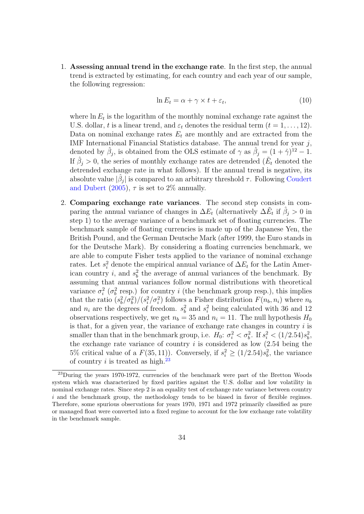1. Assessing annual trend in the exchange rate. In the first step, the annual trend is extracted by estimating, for each country and each year of our sample, the following regression:

$$
\ln E_t = \alpha + \gamma \times t + \varepsilon_t,\tag{10}
$$

where  $\ln E_t$  is the logarithm of the monthly nominal exchange rate against the U.S. dollar, t is a linear trend, and  $\varepsilon_t$  denotes the residual term  $(t = 1, \ldots, 12)$ . Data on nominal exchange rates  $E_t$  are monthly and are extracted from the IMF International Financial Statistics database. The annual trend for year j, denoted by  $\hat{\beta}_j$ , is obtained from the OLS estimate of  $\gamma$  as  $\hat{\beta}_j = (1 + \hat{\gamma})^{12} - 1$ . If  $\hat{\beta}_j > 0$ , the series of monthly exchange rates are detrended ( $\tilde{E}_t$  denoted the detrended exchange rate in what follows). If the annual trend is negative, its absolute value  $|\hat{\beta}_j|$  is compared to an arbitrary threshold  $\tau$ . Following [Coudert](#page-37-11) [and Dubert](#page-37-11) [\(2005\)](#page-37-11),  $\tau$  is set to 2\% annually.

2. Comparing exchange rate variances. The second step consists in comparing the annual variance of changes in  $\Delta E_t$  (alternatively  $\Delta \tilde{E}_t$  if  $\hat{\beta}_j > 0$  in step 1) to the average variance of a benchmark set of floating currencies. The benchmark sample of floating currencies is made up of the Japanese Yen, the British Pound, and the German Deutsche Mark (after 1999, the Euro stands in for the Deutsche Mark). By considering a floating currencies benchmark, we are able to compute Fisher tests applied to the variance of nominal exchange rates. Let  $s_i^2$  denote the empirical annual variance of  $\Delta E_t$  for the Latin American country *i*, and  $s_b^2$  the average of annual variances of the benchmark. By assuming that annual variances follow normal distributions with theoretical variance  $\sigma_i^2$  ( $\sigma_b^2$  resp.) for country i (the benchmark group resp.), this implies that the ratio  $(s_b^2/\sigma_b^2)/(s_i^2/\sigma_i^2)$  follows a Fisher distribution  $F(n_b, n_i)$  where  $n_b$ and  $n_i$  are the degrees of freedom.  $s_b^2$  and  $s_i^2$  being calculated with 36 and 12 observations respectively, we get  $n_b = 35$  and  $n_i = 11$ . The null hypothesis  $H_0$ is that, for a given year, the variance of exchange rate changes in country  $i$  is smaller than that in the benchmark group, i.e.  $H_0: \sigma_i^2 < \sigma_b^2$ . If  $s_i^2 < (1/2.54)s_b^2$ , the exchange rate variance of country  $i$  is considered as low  $(2.54 \text{ being the})$ 5% critical value of a  $F(35, 11)$ ). Conversely, if  $s_i^2 \ge (1/2.54)s_b^2$ , the variance of country i is treated as high.<sup>[23](#page-33-0)</sup>

<span id="page-33-0"></span><sup>&</sup>lt;sup>23</sup>During the years 1970-1972, currencies of the benchmark were part of the Bretton Woods system which was characterized by fixed parities against the U.S. dollar and low volatility in nominal exchange rates. Since step 2 is an equality test of exchange rate variance between country i and the benchmark group, the methodology tends to be biased in favor of flexible regimes. Therefore, some spurious observations for years 1970, 1971 and 1972 primarily classified as pure or managed float were converted into a fixed regime to account for the low exchange rate volatility in the benchmark sample.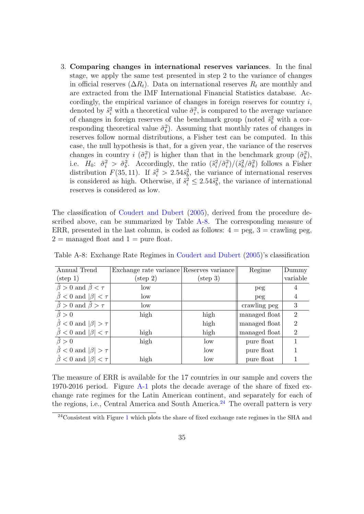3. Comparing changes in international reserves variances. In the final stage, we apply the same test presented in step 2 to the variance of changes in official reserves  $(\Delta R_t)$ . Data on international reserves  $R_t$  are monthly and are extracted from the IMF International Financial Statistics database. Accordingly, the empirical variance of changes in foreign reserves for country  $i$ , denoted by  $\tilde{s}_i^2$  with a theoretical value  $\tilde{\sigma}_i^2$ , is compared to the average variance of changes in foreign reserves of the benchmark group (noted  $\tilde{s}_b^2$  with a corresponding theoretical value  $\tilde{\sigma}_b^2$ ). Assuming that monthly rates of changes in reserves follow normal distributions, a Fisher test can be computed. In this case, the null hypothesis is that, for a given year, the variance of the reserves changes in country  $i \left( \tilde{\sigma}_i^2 \right)$  is higher than that in the benchmark group  $(\tilde{\sigma}_b^2)$ , i.e.  $H_0$ :  $\tilde{\sigma}_i^2 > \tilde{\sigma}_b^2$ . Accordingly, the ratio  $(\tilde{s}_i^2/\tilde{\sigma}_i^2)/(\tilde{s}_b^2/\tilde{\sigma}_b^2)$  follows a Fisher distribution  $F(35, 11)$ . If  $\tilde{s}_i^2 > 2.54\tilde{s}_b^2$ , the variance of international reserves is considered as high. Otherwise, if  $\tilde{s}_i^2 \leq 2.54\tilde{s}_b^2$ , the variance of international reserves is considered as low.

The classification of [Coudert and Dubert](#page-37-11) [\(2005\)](#page-37-11), derived from the procedure described above, can be summarized by Table [A-8.](#page-34-0) The corresponding measure of ERR, presented in the last column, is coded as follows:  $4 = \text{peg}$ ,  $3 = \text{crawling peg}$ ,  $2 =$  managed float and  $1 =$  pure float.

| Annual Trend                               | Exchange rate variance Reserves variance |                    | Regime        | Dummy          |
|--------------------------------------------|------------------------------------------|--------------------|---------------|----------------|
| $(\text{step 1})$                          | $(\text{step } 2)$                       | $(\text{step } 3)$ |               | variable       |
| $\beta > 0$ and $\hat{\beta} < \tau$       | low                                      |                    | peg           |                |
| $\beta$ < 0 and $ \beta $ < $\tau$         | low                                      |                    | peg           | 4              |
| $\hat{\beta} > 0$ and $\hat{\beta} > \tau$ | low                                      |                    | crawling peg  | 3              |
| $\ddot{\beta} > 0$                         | high                                     | high               | managed float | $\overline{2}$ |
| $\beta$ < 0 and $ \beta  > \tau$           |                                          | high               | managed float | $\overline{2}$ |
| $\hat{\beta}$ < 0 and $ \beta $ < $\tau$   | high                                     | high               | managed float | $\overline{2}$ |
| $\hat{\beta} > 0$                          | high                                     | low                | pure float    |                |
| $\beta$ < 0 and $ \beta  > \tau$           |                                          | low                | pure float    |                |
| $\hat{\beta}$ < 0 and $ \beta $ < $\tau$   | high                                     | $_{\text{low}}$    | pure float    |                |

<span id="page-34-0"></span>Table A-8: Exchange Rate Regimes in [Coudert and Dubert](#page-37-11) [\(2005\)](#page-37-11)'s classification

The measure of ERR is available for the 17 countries in our sample and covers the 1970-2016 period. Figure [A-1](#page-35-0) plots the decade average of the share of fixed exchange rate regimes for the Latin American continent, and separately for each of the regions, i.e., Central America and South America.<sup>[24](#page-34-1)</sup> The overall pattern is very

<span id="page-34-1"></span><sup>&</sup>lt;sup>24</sup>Consistent with Figure [1](#page-9-0) which plots the share of fixed exchange rate regimes in the SHA and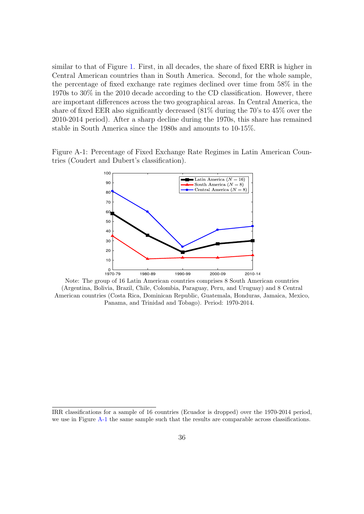similar to that of Figure [1.](#page-9-0) First, in all decades, the share of fixed ERR is higher in Central American countries than in South America. Second, for the whole sample, the percentage of fixed exchange rate regimes declined over time from 58% in the 1970s to 30% in the 2010 decade according to the CD classification. However, there are important differences across the two geographical areas. In Central America, the share of fixed EER also significantly decreased (81% during the 70's to 45% over the 2010-2014 period). After a sharp decline during the 1970s, this share has remained stable in South America since the 1980s and amounts to 10-15%.

<span id="page-35-0"></span>Figure A-1: Percentage of Fixed Exchange Rate Regimes in Latin American Countries (Coudert and Dubert's classification).



Note: The group of 16 Latin American countries comprises 8 South American countries (Argentina, Bolivia, Brazil, Chile, Colombia, Paraguay, Peru, and Uruguay) and 8 Central American countries (Costa Rica, Dominican Republic, Guatemala, Honduras, Jamaica, Mexico, Panama, and Trinidad and Tobago). Period: 1970-2014.

IRR classifications for a sample of 16 countries (Ecuador is dropped) over the 1970-2014 period, we use in Figure [A-1](#page-35-0) the same sample such that the results are comparable across classifications.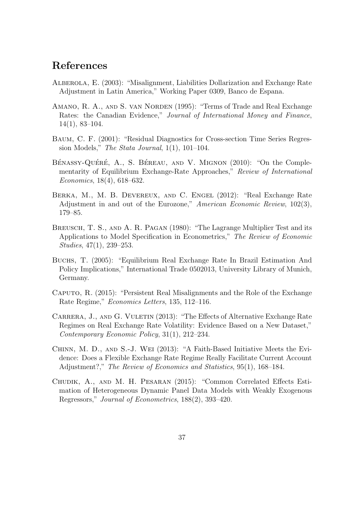## References

- <span id="page-36-1"></span>Alberola, E. (2003): "Misalignment, Liabilities Dollarization and Exchange Rate Adjustment in Latin America," Working Paper 0309, Banco de Espana.
- <span id="page-36-3"></span>AMANO, R. A., AND S. VAN NORDEN (1995): "Terms of Trade and Real Exchange Rates: the Canadian Evidence," Journal of International Money and Finance, 14(1), 83–104.
- <span id="page-36-8"></span>Baum, C. F. (2001): "Residual Diagnostics for Cross-section Time Series Regression Models," The Stata Journal,  $1(1)$ ,  $101-104$ .
- <span id="page-36-2"></span>BÉNASSY-QUÉRÉ, A., S. BÉREAU, AND V. MIGNON (2010): "On the Complementarity of Equilibrium Exchange-Rate Approaches," Review of International Economics, 18(4), 618–632.
- <span id="page-36-6"></span>Berka, M., M. B. Devereux, and C. Engel (2012): "Real Exchange Rate Adjustment in and out of the Eurozone," American Economic Review, 102(3), 179–85.
- <span id="page-36-7"></span>BREUSCH, T. S., AND A. R. PAGAN (1980): "The Lagrange Multiplier Test and its Applications to Model Specification in Econometrics," The Review of Economic Studies, 47(1), 239–253.
- <span id="page-36-0"></span>Buchs, T. (2005): "Equilibrium Real Exchange Rate In Brazil Estimation And Policy Implications," International Trade 0502013, University Library of Munich, Germany.
- <span id="page-36-5"></span>Caputo, R. (2015): "Persistent Real Misalignments and the Role of the Exchange Rate Regime," Economics Letters, 135, 112–116.
- <span id="page-36-9"></span>CARRERA, J., AND G. VULETIN (2013): "The Effects of Alternative Exchange Rate Regimes on Real Exchange Rate Volatility: Evidence Based on a New Dataset," Contemporary Economic Policy, 31(1), 212–234.
- <span id="page-36-4"></span>Chinn, M. D., and S.-J. Wei (2013): "A Faith-Based Initiative Meets the Evidence: Does a Flexible Exchange Rate Regime Really Facilitate Current Account Adjustment?," The Review of Economics and Statistics, 95(1), 168–184.
- <span id="page-36-10"></span>Chudik, A., and M. H. Pesaran (2015): "Common Correlated Effects Estimation of Heterogeneous Dynamic Panel Data Models with Weakly Exogenous Regressors," Journal of Econometrics, 188(2), 393–420.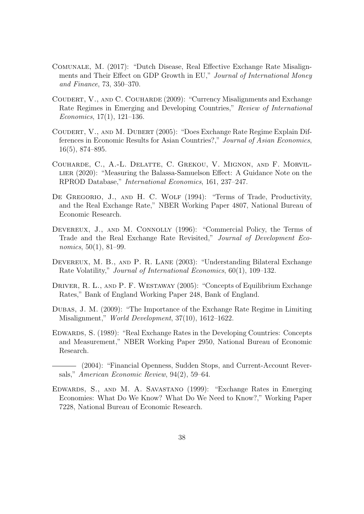- <span id="page-37-8"></span>Comunale, M. (2017): "Dutch Disease, Real Effective Exchange Rate Misalignments and Their Effect on GDP Growth in EU," Journal of International Money and Finance, 73, 350–370.
- <span id="page-37-1"></span>COUDERT, V., AND C. COUHARDE (2009): "Currency Misalignments and Exchange Rate Regimes in Emerging and Developing Countries," Review of International Economics, 17(1), 121–136.
- <span id="page-37-11"></span>Coudert, V., and M. Dubert (2005): "Does Exchange Rate Regime Explain Differences in Economic Results for Asian Countries?," Journal of Asian Economics, 16(5), 874–895.
- <span id="page-37-7"></span>Couharde, C., A.-L. Delatte, C. Grekou, V. Mignon, and F. Morvillier (2020): "Measuring the Balassa-Samuelson Effect: A Guidance Note on the RPROD Database," International Economics, 161, 237–247.
- <span id="page-37-2"></span>DE GREGORIO, J., AND H. C. WOLF (1994): "Terms of Trade, Productivity, and the Real Exchange Rate," NBER Working Paper 4807, National Bureau of Economic Research.
- <span id="page-37-6"></span>DEVEREUX, J., AND M. CONNOLLY (1996): "Commercial Policy, the Terms of Trade and the Real Exchange Rate Revisited," Journal of Development Economics, 50(1), 81–99.
- <span id="page-37-9"></span>Devereux, M. B., and P. R. Lane (2003): "Understanding Bilateral Exchange Rate Volatility," Journal of International Economics, 60(1), 109–132.
- <span id="page-37-3"></span>DRIVER, R. L., AND P. F. WESTAWAY (2005): "Concepts of Equilibrium Exchange Rates," Bank of England Working Paper 248, Bank of England.
- <span id="page-37-0"></span>Dubas, J. M. (2009): "The Importance of the Exchange Rate Regime in Limiting Misalignment," World Development, 37(10), 1612–1622.
- <span id="page-37-5"></span>Edwards, S. (1989): "Real Exchange Rates in the Developing Countries: Concepts and Measurement," NBER Working Paper 2950, National Bureau of Economic Research.

<span id="page-37-10"></span>(2004): "Financial Openness, Sudden Stops, and Current-Account Reversals," American Economic Review, 94(2), 59–64.

<span id="page-37-4"></span>Edwards, S., and M. A. Savastano (1999): "Exchange Rates in Emerging Economies: What Do We Know? What Do We Need to Know?," Working Paper 7228, National Bureau of Economic Research.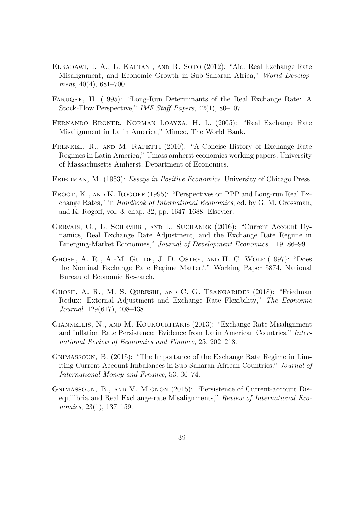- <span id="page-38-9"></span>Elbadawi, I. A., L. Kaltani, and R. Soto (2012): "Aid, Real Exchange Rate Misalignment, and Economic Growth in Sub-Saharan Africa," World Development, 40(4), 681–700.
- <span id="page-38-4"></span>FARUQEE, H. (1995): "Long-Run Determinants of the Real Exchange Rate: A Stock-Flow Perspective," IMF Staff Papers, 42(1), 80–107.
- <span id="page-38-3"></span>Fernando Broner, Norman Loayza, H. L. (2005): "Real Exchange Rate Misalignment in Latin America," Mimeo, The World Bank.
- <span id="page-38-0"></span>FRENKEL, R., AND M. RAPETTI (2010): "A Concise History of Exchange Rate Regimes in Latin America," Umass amherst economics working papers, University of Massachusetts Amherst, Department of Economics.
- <span id="page-38-1"></span>FRIEDMAN, M. (1953): *Essays in Positive Economics*. University of Chicago Press.
- <span id="page-38-5"></span>FROOT, K., AND K. ROGOFF (1995): "Perspectives on PPP and Long-run Real Exchange Rates," in Handbook of International Economics, ed. by G. M. Grossman, and K. Rogoff, vol. 3, chap. 32, pp. 1647–1688. Elsevier.
- <span id="page-38-10"></span>GERVAIS, O., L. SCHEMBRI, AND L. SUCHANEK (2016): "Current Account Dynamics, Real Exchange Rate Adjustment, and the Exchange Rate Regime in Emerging-Market Economies," Journal of Development Economics, 119, 86–99.
- <span id="page-38-11"></span>Ghosh, A. R., A.-M. Gulde, J. D. Ostry, and H. C. Wolf (1997): "Does the Nominal Exchange Rate Regime Matter?," Working Paper 5874, National Bureau of Economic Research.
- <span id="page-38-7"></span>Ghosh, A. R., M. S. Qureshi, and C. G. Tsangarides (2018): "Friedman Redux: External Adjustment and Exchange Rate Flexibility," The Economic Journal, 129(617), 408–438.
- <span id="page-38-2"></span>Giannellis, N., and M. Koukouritakis (2013): "Exchange Rate Misalignment and Inflation Rate Persistence: Evidence from Latin American Countries," International Review of Economics and Finance, 25, 202–218.
- <span id="page-38-6"></span>Gnimassoun, B. (2015): "The Importance of the Exchange Rate Regime in Limiting Current Account Imbalances in Sub-Saharan African Countries," Journal of International Money and Finance, 53, 36–74.
- <span id="page-38-8"></span>Gnimassoun, B., and V. Mignon (2015): "Persistence of Current-account Disequilibria and Real Exchange-rate Misalignments," Review of International Economics, 23(1), 137–159.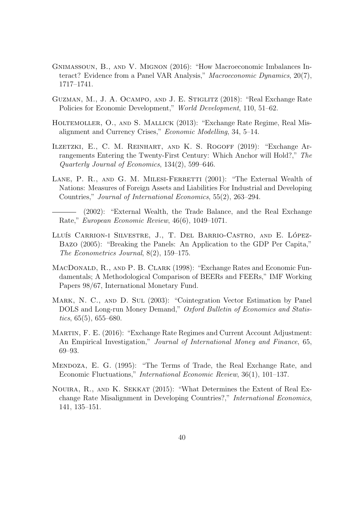- <span id="page-39-9"></span>Gnimassoun, B., and V. Mignon (2016): "How Macroeconomic Imbalances Interact? Evidence from a Panel VAR Analysis," Macroeconomic Dynamics, 20(7), 1717–1741.
- <span id="page-39-0"></span>Guzman, M., J. A. Ocampo, and J. E. Stiglitz (2018): "Real Exchange Rate Policies for Economic Development," World Development, 110, 51–62.
- <span id="page-39-2"></span>HOLTEMOLLER, O., AND S. MALLICK (2013): "Exchange Rate Regime, Real Misalignment and Currency Crises," Economic Modelling, 34, 5–14.
- <span id="page-39-6"></span>Ilzetzki, E., C. M. Reinhart, and K. S. Rogoff (2019): "Exchange Arrangements Entering the Twenty-First Century: Which Anchor will Hold?," The Quarterly Journal of Economics, 134(2), 599–646.
- <span id="page-39-8"></span>LANE, P. R., AND G. M. MILESI-FERRETTI (2001): "The External Wealth of Nations: Measures of Foreign Assets and Liabilities For Industrial and Developing Countries," Journal of International Economics, 55(2), 263–294.
	- (2002): "External Wealth, the Trade Balance, and the Real Exchange Rate," European Economic Review, 46(6), 1049–1071.
- <span id="page-39-10"></span><span id="page-39-4"></span>LLUÍS CARRION-I SILVESTRE, J., T. DEL BARRIO-CASTRO, AND E. LÓPEZ-Bazo (2005): "Breaking the Panels: An Application to the GDP Per Capita," The Econometrics Journal, 8(2), 159–175.
- <span id="page-39-3"></span>MacDonald, R., and P. B. Clark (1998): "Exchange Rates and Economic Fundamentals; A Methodological Comparison of BEERs and FEERs," IMF Working Papers 98/67, International Monetary Fund.
- <span id="page-39-11"></span>Mark, N. C., and D. Sul (2003): "Cointegration Vector Estimation by Panel DOLS and Long-run Money Demand," Oxford Bulletin of Economics and Statistics,  $65(5)$ ,  $655-680$ .
- <span id="page-39-7"></span>Martin, F. E. (2016): "Exchange Rate Regimes and Current Account Adjustment: An Empirical Investigation," Journal of International Money and Finance, 65, 69–93.
- <span id="page-39-5"></span>Mendoza, E. G. (1995): "The Terms of Trade, the Real Exchange Rate, and Economic Fluctuations," International Economic Review, 36(1), 101–137.
- <span id="page-39-1"></span>Nouira, R., and K. Sekkat (2015): "What Determines the Extent of Real Exchange Rate Misalignment in Developing Countries?," International Economics, 141, 135–151.